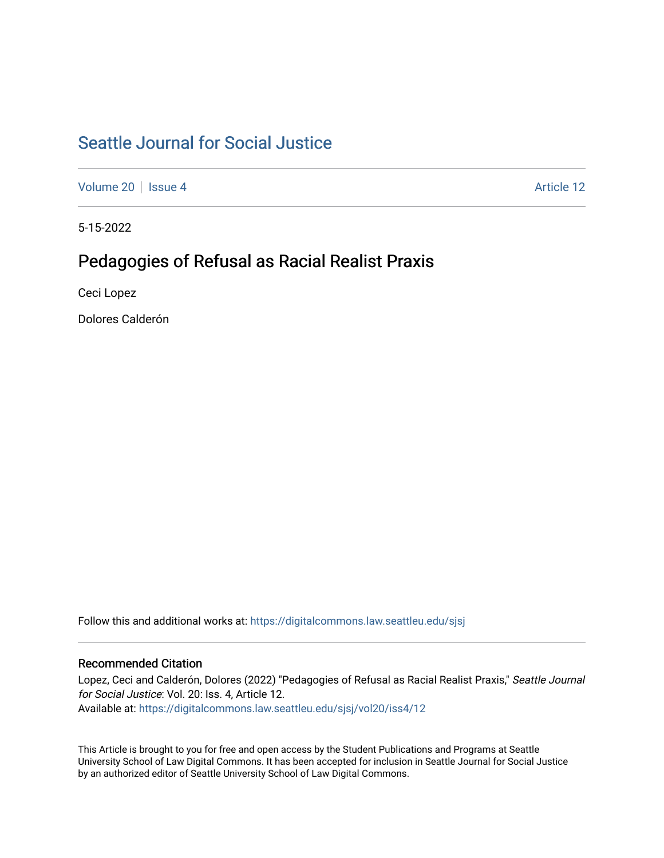# [Seattle Journal for Social Justice](https://digitalcommons.law.seattleu.edu/sjsj)

[Volume 20](https://digitalcommons.law.seattleu.edu/sjsj/vol20) | [Issue 4](https://digitalcommons.law.seattleu.edu/sjsj/vol20/iss4) Article 12

5-15-2022

# Pedagogies of Refusal as Racial Realist Praxis

Ceci Lopez

Dolores Calderón

Follow this and additional works at: [https://digitalcommons.law.seattleu.edu/sjsj](https://digitalcommons.law.seattleu.edu/sjsj?utm_source=digitalcommons.law.seattleu.edu%2Fsjsj%2Fvol20%2Fiss4%2F12&utm_medium=PDF&utm_campaign=PDFCoverPages)

# Recommended Citation

Lopez, Ceci and Calderón, Dolores (2022) "Pedagogies of Refusal as Racial Realist Praxis," Seattle Journal for Social Justice: Vol. 20: Iss. 4, Article 12. Available at: [https://digitalcommons.law.seattleu.edu/sjsj/vol20/iss4/12](https://digitalcommons.law.seattleu.edu/sjsj/vol20/iss4/12?utm_source=digitalcommons.law.seattleu.edu%2Fsjsj%2Fvol20%2Fiss4%2F12&utm_medium=PDF&utm_campaign=PDFCoverPages) 

This Article is brought to you for free and open access by the Student Publications and Programs at Seattle University School of Law Digital Commons. It has been accepted for inclusion in Seattle Journal for Social Justice by an authorized editor of Seattle University School of Law Digital Commons.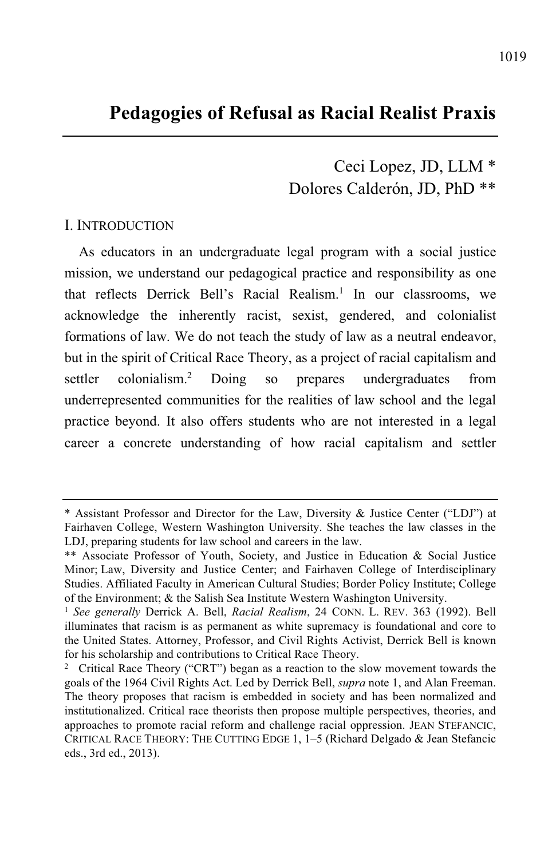# **Pedagogies of Refusal as Racial Realist Praxis**

Ceci Lopez, JD, LLM \* Dolores Calderón, JD, PhD \*\*

#### I. INTRODUCTION

As educators in an undergraduate legal program with a social justice mission, we understand our pedagogical practice and responsibility as one that reflects Derrick Bell's Racial Realism. 1 In our classrooms, we acknowledge the inherently racist, sexist, gendered, and colonialist formations of law. We do not teach the study of law as a neutral endeavor, but in the spirit of Critical Race Theory, as a project of racial capitalism and settler colonialism.<sup>2</sup> Doing so prepares undergraduates from underrepresented communities for the realities of law school and the legal practice beyond. It also offers students who are not interested in a legal career a concrete understanding of how racial capitalism and settler

<sup>\*</sup> Assistant Professor and Director for the Law, Diversity & Justice Center ("LDJ") at Fairhaven College, Western Washington University. She teaches the law classes in the LDJ, preparing students for law school and careers in the law.

<sup>\*\*</sup> Associate Professor of Youth, Society, and Justice in Education & Social Justice Minor; Law, Diversity and Justice Center; and Fairhaven College of Interdisciplinary Studies. Affiliated Faculty in American Cultural Studies; Border Policy Institute; College of the Environment; & the Salish Sea Institute Western Washington University.

<sup>1</sup> *See generally* Derrick A. Bell, *Racial Realism*, 24 CONN. L. REV. 363 (1992). Bell illuminates that racism is as permanent as white supremacy is foundational and core to the United States. Attorney, Professor, and Civil Rights Activist, Derrick Bell is known for his scholarship and contributions to Critical Race Theory.

<sup>&</sup>lt;sup>2</sup> Critical Race Theory ("CRT") began as a reaction to the slow movement towards the goals of the 1964 Civil Rights Act. Led by Derrick Bell, *supra* note 1, and Alan Freeman. The theory proposes that racism is embedded in society and has been normalized and institutionalized. Critical race theorists then propose multiple perspectives, theories, and approaches to promote racial reform and challenge racial oppression. JEAN STEFANCIC, CRITICAL RACE THEORY: THE CUTTING EDGE 1, 1–5 (Richard Delgado & Jean Stefancic eds., 3rd ed., 2013).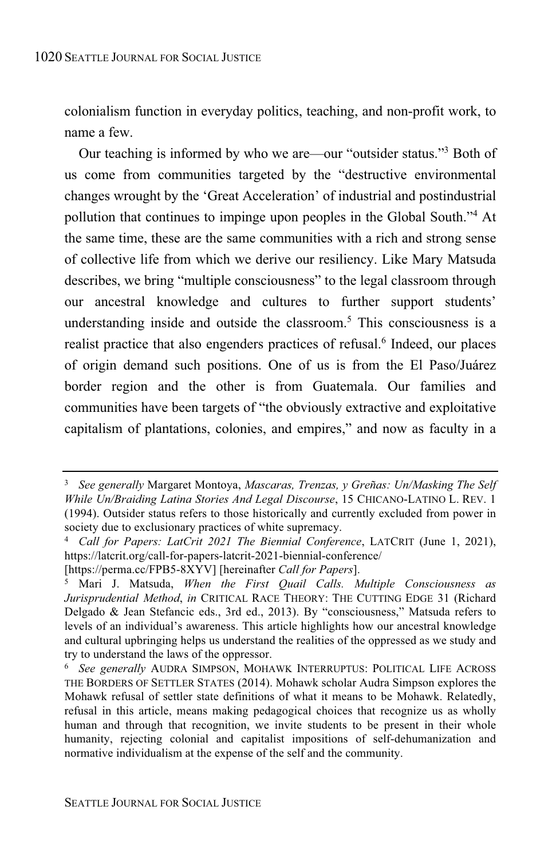colonialism function in everyday politics, teaching, and non-profit work, to name a few.

Our teaching is informed by who we are—our "outsider status." <sup>3</sup> Both of us come from communities targeted by the "destructive environmental changes wrought by the 'Great Acceleration' of industrial and postindustrial pollution that continues to impinge upon peoples in the Global South." <sup>4</sup> At the same time, these are the same communities with a rich and strong sense of collective life from which we derive our resiliency. Like Mary Matsuda describes, we bring "multiple consciousness" to the legal classroom through our ancestral knowledge and cultures to further support students' understanding inside and outside the classroom. <sup>5</sup> This consciousness is a realist practice that also engenders practices of refusal.<sup>6</sup> Indeed, our places of origin demand such positions. One of us is from the El Paso/Juárez border region and the other is from Guatemala. Our families and communities have been targets of "the obviously extractive and exploitative capitalism of plantations, colonies, and empires," and now as faculty in a

<sup>3</sup> *See generally* Margaret Montoya, *Mascaras, Trenzas, y Greñas: Un/Masking The Self While Un/Braiding Latina Stories And Legal Discourse*, 15 CHICANO-LATINO L. REV. 1 (1994). Outsider status refers to those historically and currently excluded from power in society due to exclusionary practices of white supremacy.

<sup>4</sup> *Call for Papers: LatCrit 2021 The Biennial Conference*, LATCRIT (June 1, 2021), https://latcrit.org/call-for-papers-latcrit-2021-biennial-conference/

<sup>[</sup>https://perma.cc/FPB5-8XYV] [hereinafter *Call for Papers*].

<sup>5</sup> Mari J. Matsuda, *When the First Quail Calls. Multiple Consciousness as Jurisprudential Method*, *in* CRITICAL RACE THEORY: THE CUTTING EDGE 31 (Richard Delgado & Jean Stefancic eds., 3rd ed., 2013). By "consciousness," Matsuda refers to levels of an individual's awareness. This article highlights how our ancestral knowledge and cultural upbringing helps us understand the realities of the oppressed as we study and try to understand the laws of the oppressor.

<sup>6</sup> *See generally* AUDRA SIMPSON, MOHAWK INTERRUPTUS: POLITICAL LIFE ACROSS THE BORDERS OF SETTLER STATES (2014). Mohawk scholar Audra Simpson explores the Mohawk refusal of settler state definitions of what it means to be Mohawk. Relatedly, refusal in this article, means making pedagogical choices that recognize us as wholly human and through that recognition, we invite students to be present in their whole humanity, rejecting colonial and capitalist impositions of self-dehumanization and normative individualism at the expense of the self and the community.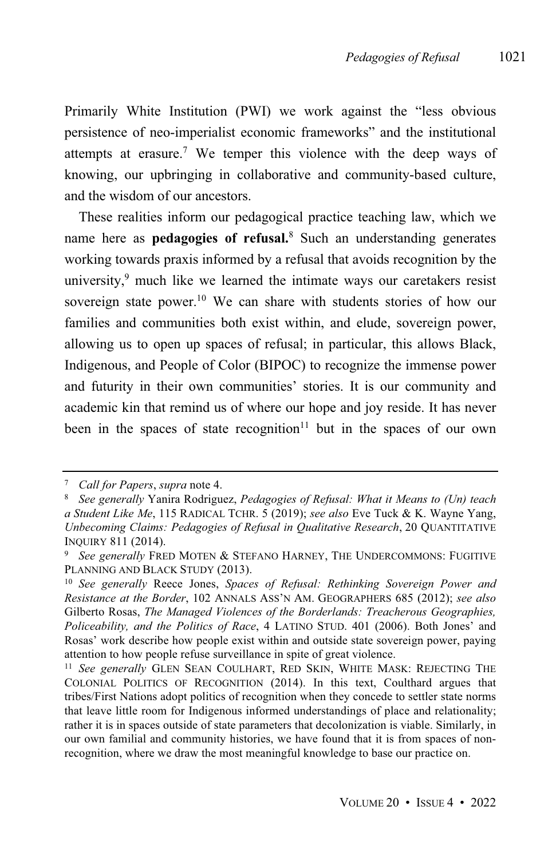Primarily White Institution (PWI) we work against the "less obvious persistence of neo-imperialist economic frameworks" and the institutional attempts at erasure.<sup>7</sup> We temper this violence with the deep ways of knowing, our upbringing in collaborative and community-based culture, and the wisdom of our ancestors.

These realities inform our pedagogical practice teaching law, which we name here as **pedagogies of refusal.**<sup>8</sup> Such an understanding generates working towards praxis informed by a refusal that avoids recognition by the university, <sup>9</sup> much like we learned the intimate ways our caretakers resist sovereign state power.<sup>10</sup> We can share with students stories of how our families and communities both exist within, and elude, sovereign power, allowing us to open up spaces of refusal; in particular, this allows Black, Indigenous, and People of Color (BIPOC) to recognize the immense power and futurity in their own communities' stories. It is our community and academic kin that remind us of where our hope and joy reside. It has never been in the spaces of state recognition <sup>11</sup> but in the spaces of our own

<sup>7</sup> *Call for Papers*, *supra* note 4.

<sup>8</sup> *See generally* Yanira Rodriguez, *Pedagogies of Refusal: What it Means to (Un) teach a Student Like Me*, 115 RADICAL TCHR. 5 (2019); *see also* Eve Tuck & K. Wayne Yang, *Unbecoming Claims: Pedagogies of Refusal in Qualitative Research*, 20 QUANTITATIVE INQUIRY 811 (2014).

<sup>9</sup> *See generally* FRED MOTEN & STEFANO HARNEY, THE UNDERCOMMONS: FUGITIVE PLANNING AND BLACK STUDY (2013).

<sup>10</sup> *See generally* Reece Jones, *Spaces of Refusal: Rethinking Sovereign Power and Resistance at the Border*, 102 ANNALS ASS'N AM. GEOGRAPHERS 685 (2012); *see also* Gilberto Rosas, *The Managed Violences of the Borderlands: Treacherous Geographies, Policeability, and the Politics of Race*, 4 LATINO STUD. 401 (2006). Both Jones' and Rosas' work describe how people exist within and outside state sovereign power, paying attention to how people refuse surveillance in spite of great violence.

<sup>11</sup> *See generally* GLEN SEAN COULHART, RED SKIN, WHITE MASK: REJECTING THE COLONIAL POLITICS OF RECOGNITION (2014). In this text, Coulthard argues that tribes/First Nations adopt politics of recognition when they concede to settler state norms that leave little room for Indigenous informed understandings of place and relationality; rather it is in spaces outside of state parameters that decolonization is viable. Similarly, in our own familial and community histories, we have found that it is from spaces of nonrecognition, where we draw the most meaningful knowledge to base our practice on.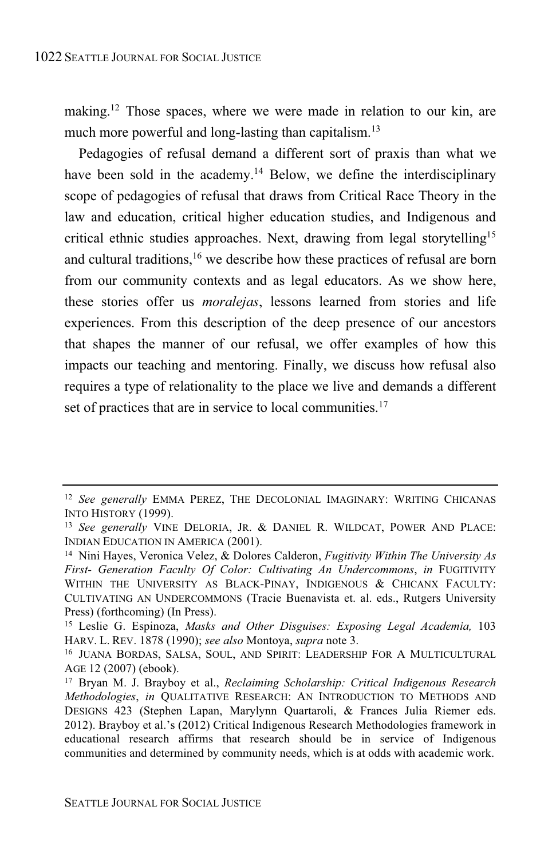making.<sup>12</sup> Those spaces, where we were made in relation to our kin, are much more powerful and long-lasting than capitalism. 13

Pedagogies of refusal demand a different sort of praxis than what we have been sold in the academy.<sup>14</sup> Below, we define the interdisciplinary scope of pedagogies of refusal that draws from Critical Race Theory in the law and education, critical higher education studies, and Indigenous and critical ethnic studies approaches. Next, drawing from legal storytelling<sup>15</sup> and cultural traditions,<sup>16</sup> we describe how these practices of refusal are born from our community contexts and as legal educators. As we show here, these stories offer us *moralejas*, lessons learned from stories and life experiences. From this description of the deep presence of our ancestors that shapes the manner of our refusal, we offer examples of how this impacts our teaching and mentoring. Finally, we discuss how refusal also requires a type of relationality to the place we live and demands a different set of practices that are in service to local communities.<sup>17</sup>

<sup>12</sup> *See generally* EMMA PEREZ, THE DECOLONIAL IMAGINARY: WRITING CHICANAS INTO HISTORY (1999).

<sup>13</sup> *See generally* VINE DELORIA, JR. & DANIEL R. WILDCAT, POWER AND PLACE: INDIAN EDUCATION IN AMERICA (2001).

<sup>14</sup> Nini Hayes, Veronica Velez, & Dolores Calderon, *Fugitivity Within The University As First- Generation Faculty Of Color: Cultivating An Undercommons*, *in* FUGITIVITY WITHIN THE UNIVERSITY AS BLACK-PINAY, INDIGENOUS & CHICANX FACULTY: CULTIVATING AN UNDERCOMMONS (Tracie Buenavista et. al. eds., Rutgers University Press) (forthcoming) (In Press).

<sup>15</sup> Leslie G. Espinoza, *Masks and Other Disguises: Exposing Legal Academia,* 103 HARV. L. REV. 1878 (1990); *see also* Montoya, *supra* note 3.

<sup>16</sup> JUANA BORDAS, SALSA, SOUL, AND SPIRIT: LEADERSHIP FOR A MULTICULTURAL AGE 12 (2007) (ebook).

<sup>17</sup> Bryan M. J. Brayboy et al., *Reclaiming Scholarship: Critical Indigenous Research Methodologies*, *in* QUALITATIVE RESEARCH: AN INTRODUCTION TO METHODS AND DESIGNS 423 (Stephen Lapan, Marylynn Quartaroli, & Frances Julia Riemer eds. 2012). Brayboy et al.'s (2012) Critical Indigenous Research Methodologies framework in educational research affirms that research should be in service of Indigenous communities and determined by community needs, which is at odds with academic work.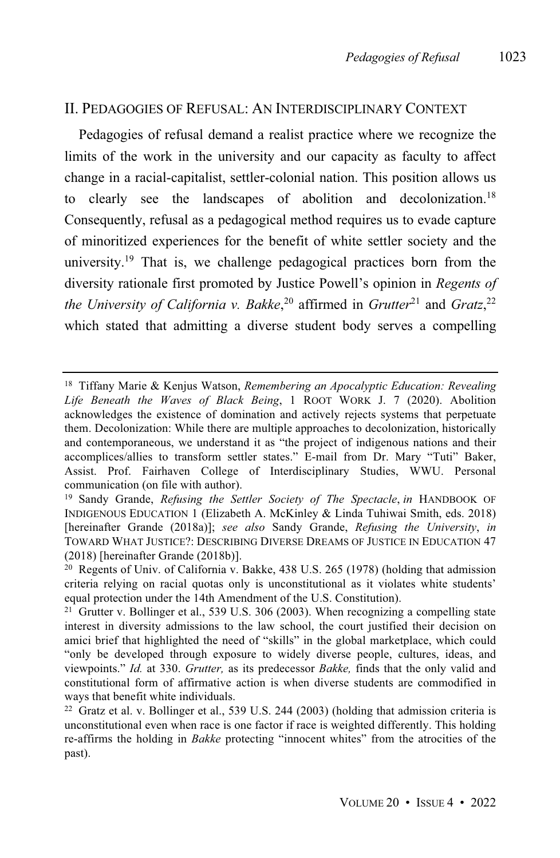# II. PEDAGOGIES OF REFUSAL: AN INTERDISCIPLINARY CONTEXT

Pedagogies of refusal demand a realist practice where we recognize the limits of the work in the university and our capacity as faculty to affect change in a racial-capitalist, settler-colonial nation. This position allows us to clearly see the landscapes of abolition and decolonization.<sup>18</sup> Consequently, refusal as a pedagogical method requires us to evade capture of minoritized experiences for the benefit of white settler society and the university. <sup>19</sup> That is, we challenge pedagogical practices born from the diversity rationale first promoted by Justice Powell's opinion in *Regents of the University of California v. Bakke*, <sup>20</sup> affirmed in *Grutter* <sup>21</sup> and *Gratz*, 22 which stated that admitting a diverse student body serves a compelling

<sup>18</sup> Tiffany Marie & Kenjus Watson, *Remembering an Apocalyptic Education: Revealing Life Beneath the Waves of Black Being*, 1 ROOT WORK J. 7 (2020). Abolition acknowledges the existence of domination and actively rejects systems that perpetuate them. Decolonization: While there are multiple approaches to decolonization, historically and contemporaneous, we understand it as "the project of indigenous nations and their accomplices/allies to transform settler states." E-mail from Dr. Mary "Tuti" Baker, Assist. Prof. Fairhaven College of Interdisciplinary Studies, WWU. Personal communication (on file with author).

<sup>19</sup> Sandy Grande, *Refusing the Settler Society of The Spectacle*, *in* HANDBOOK OF INDIGENOUS EDUCATION 1 (Elizabeth A. McKinley & Linda Tuhiwai Smith, eds. 2018) [hereinafter Grande (2018a)]; *see also* Sandy Grande, *Refusing the University*, *in* TOWARD WHAT JUSTICE?: DESCRIBING DIVERSE DREAMS OF JUSTICE IN EDUCATION 47 (2018) [hereinafter Grande (2018b)].

<sup>&</sup>lt;sup>20</sup> Regents of Univ. of California v. Bakke,  $438$  U.S. 265 (1978) (holding that admission criteria relying on racial quotas only is unconstitutional as it violates white students' equal protection under the 14th Amendment of the U.S. Constitution).

<sup>&</sup>lt;sup>21</sup> Grutter v. Bollinger et al., 539 U.S. 306 (2003). When recognizing a compelling state interest in diversity admissions to the law school, the court justified their decision on amici brief that highlighted the need of "skills" in the global marketplace, which could "only be developed through exposure to widely diverse people, cultures, ideas, and viewpoints." *Id.* at 330. *Grutter,* as its predecessor *Bakke,* finds that the only valid and constitutional form of affirmative action is when diverse students are commodified in ways that benefit white individuals.

<sup>&</sup>lt;sup>22</sup> Gratz et al. v. Bollinger et al., 539 U.S. 244 (2003) (holding that admission criteria is unconstitutional even when race is one factor if race is weighted differently. This holding re-affirms the holding in *Bakke* protecting "innocent whites" from the atrocities of the past).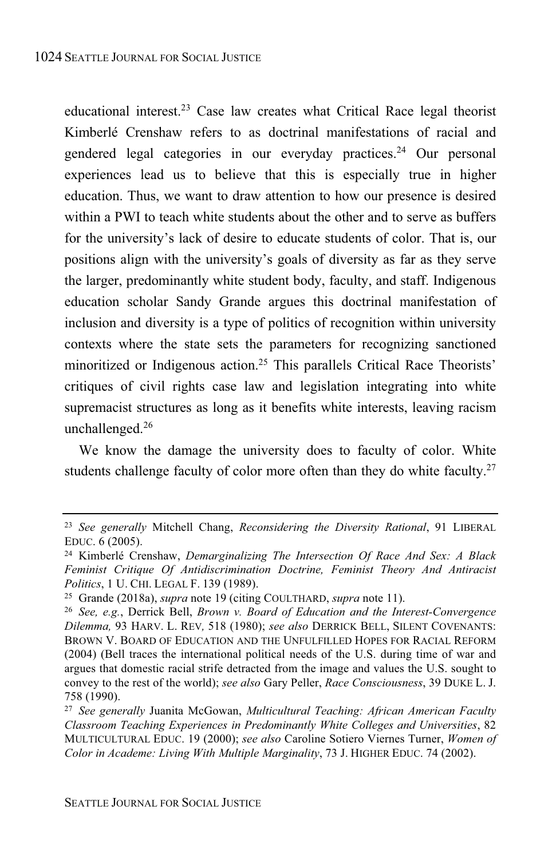educational interest.<sup>23</sup> Case law creates what Critical Race legal theorist Kimberlé Crenshaw refers to as doctrinal manifestations of racial and gendered legal categories in our everyday practices.<sup>24</sup> Our personal experiences lead us to believe that this is especially true in higher education. Thus, we want to draw attention to how our presence is desired within a PWI to teach white students about the other and to serve as buffers for the university's lack of desire to educate students of color. That is, our positions align with the university's goals of diversity as far as they serve the larger, predominantly white student body, faculty, and staff. Indigenous education scholar Sandy Grande argues this doctrinal manifestation of inclusion and diversity is a type of politics of recognition within university contexts where the state sets the parameters for recognizing sanctioned minoritized or Indigenous action.<sup>25</sup> This parallels Critical Race Theorists' critiques of civil rights case law and legislation integrating into white supremacist structures as long as it benefits white interests, leaving racism unchallenged.<sup>26</sup>

We know the damage the university does to faculty of color. White students challenge faculty of color more often than they do white faculty.<sup>27</sup>

<sup>23</sup> *See generally* Mitchell Chang, *Reconsidering the Diversity Rational*, 91 LIBERAL EDUC. 6 (2005).

<sup>24</sup> Kimberlé Crenshaw, *Demarginalizing The Intersection Of Race And Sex: A Black Feminist Critique Of Antidiscrimination Doctrine, Feminist Theory And Antiracist Politics*, 1 U. CHI. LEGAL F. 139 (1989).

<sup>25</sup> Grande (2018a), *supra* note 19 (citing COULTHARD, *supra* note 11).

<sup>26</sup> *See, e.g.*, Derrick Bell, *Brown v. Board of Education and the Interest-Convergence Dilemma,* 93 HARV. L. REV*,* 518 (1980); *see also* DERRICK BELL, SILENT COVENANTS: BROWN V. BOARD OF EDUCATION AND THE UNFULFILLED HOPES FOR RACIAL REFORM (2004) (Bell traces the international political needs of the U.S. during time of war and argues that domestic racial strife detracted from the image and values the U.S. sought to convey to the rest of the world); *see also* Gary Peller, *Race Consciousness*, 39 DUKE L. J. 758 (1990).

<sup>27</sup> *See generally* Juanita McGowan, *Multicultural Teaching: African American Faculty Classroom Teaching Experiences in Predominantly White Colleges and Universities*, 82 MULTICULTURAL EDUC. 19 (2000); *see also* Caroline Sotiero Viernes Turner, *Women of Color in Academe: Living With Multiple Marginality*, 73 J. HIGHER EDUC. 74 (2002).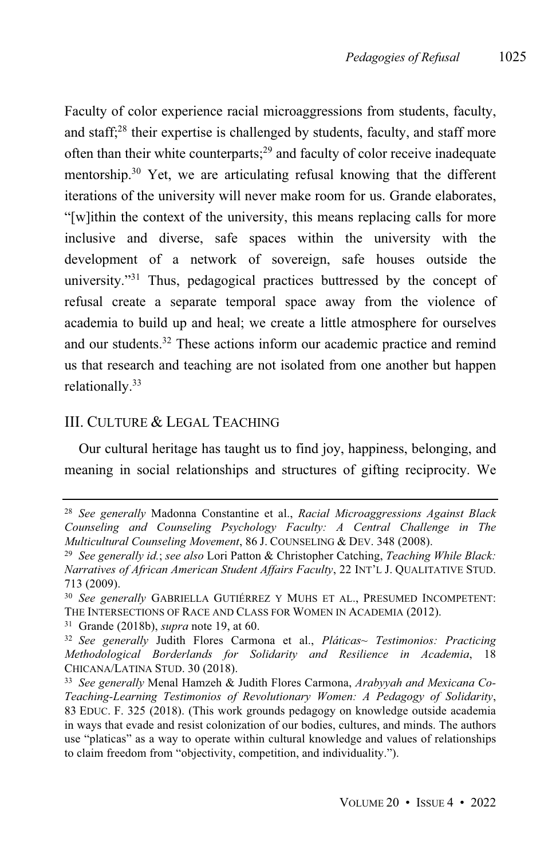Faculty of color experience racial microaggressions from students, faculty, and staff;<sup>28</sup> their expertise is challenged by students, faculty, and staff more often than their white counterparts;<sup>29</sup> and faculty of color receive inadequate mentorship.<sup>30</sup> Yet, we are articulating refusal knowing that the different iterations of the university will never make room for us. Grande elaborates, "[w]ithin the context of the university, this means replacing calls for more inclusive and diverse, safe spaces within the university with the development of a network of sovereign, safe houses outside the university."<sup>31</sup> Thus, pedagogical practices buttressed by the concept of refusal create a separate temporal space away from the violence of academia to build up and heal; we create a little atmosphere for ourselves and our students.<sup>32</sup> These actions inform our academic practice and remind us that research and teaching are not isolated from one another but happen relationally.<sup>33</sup>

# III. CULTURE & LEGAL TEACHING

Our cultural heritage has taught us to find joy, happiness, belonging, and meaning in social relationships and structures of gifting reciprocity. We

<sup>28</sup> *See generally* Madonna Constantine et al., *Racial Microaggressions Against Black Counseling and Counseling Psychology Faculty: A Central Challenge in The Multicultural Counseling Movement*, 86 J. COUNSELING & DEV. 348 (2008).

<sup>29</sup> *See generally id.*; *see also* Lori Patton & Christopher Catching, *Teaching While Black: Narratives of African American Student Affairs Faculty*, 22 INT'L J. QUALITATIVE STUD. 713 (2009).

<sup>30</sup> *See generally* GABRIELLA GUTIÉRREZ Y MUHS ET AL., PRESUMED INCOMPETENT: THE INTERSECTIONS OF RACE AND CLASS FOR WOMEN IN ACADEMIA (2012).

<sup>31</sup> Grande (2018b), *supra* note 19, at 60.

<sup>32</sup> *See generally* Judith Flores Carmona et al., *Pláticas~ Testimonios: Practicing Methodological Borderlands for Solidarity and Resilience in Academia*, 18 CHICANA/LATINA STUD. 30 (2018).

<sup>33</sup> *See generally* Menal Hamzeh & Judith Flores Carmona, *Arabyyah and Mexicana Co-Teaching-Learning Testimonios of Revolutionary Women: A Pedagogy of Solidarity*, 83 EDUC. F. 325 (2018). (This work grounds pedagogy on knowledge outside academia in ways that evade and resist colonization of our bodies, cultures, and minds. The authors use "platicas" as a way to operate within cultural knowledge and values of relationships to claim freedom from "objectivity, competition, and individuality.").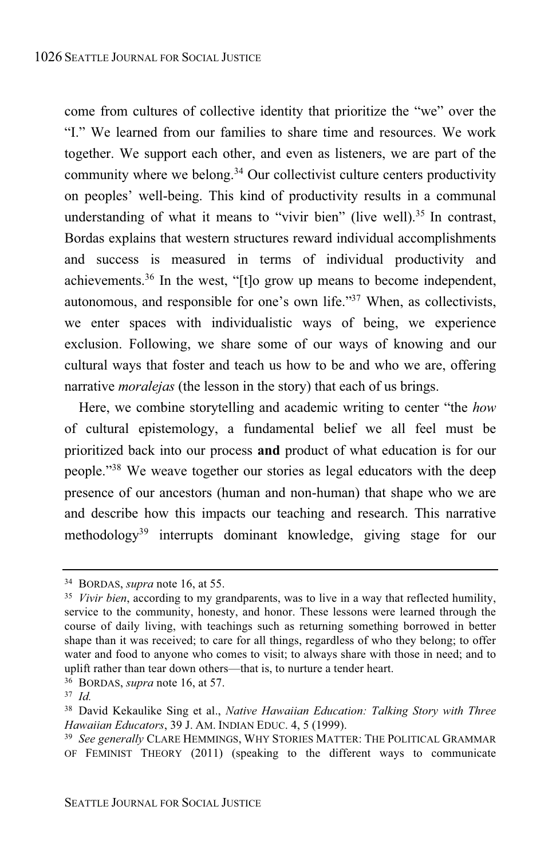come from cultures of collective identity that prioritize the "we" over the "I." We learned from our families to share time and resources. We work together. We support each other, and even as listeners, we are part of the community where we belong. $34$  Our collectivist culture centers productivity on peoples' well-being. This kind of productivity results in a communal understanding of what it means to "vivir bien" (live well).<sup>35</sup> In contrast, Bordas explains that western structures reward individual accomplishments and success is measured in terms of individual productivity and achievements.<sup>36</sup> In the west, "[t]o grow up means to become independent, autonomous, and responsible for one's own life." <sup>37</sup> When, as collectivists, we enter spaces with individualistic ways of being, we experience exclusion. Following, we share some of our ways of knowing and our cultural ways that foster and teach us how to be and who we are, offering narrative *moralejas* (the lesson in the story) that each of us brings.

Here, we combine storytelling and academic writing to center "the *how* of cultural epistemology, a fundamental belief we all feel must be prioritized back into our process **and** product of what education is for our people." <sup>38</sup> We weave together our stories as legal educators with the deep presence of our ancestors (human and non-human) that shape who we are and describe how this impacts our teaching and research. This narrative methodology<sup>39</sup> interrupts dominant knowledge, giving stage for our

<sup>34</sup> BORDAS, *supra* note 16, at 55.

<sup>35</sup> *Vivir bien*, according to my grandparents, was to live in a way that reflected humility, service to the community, honesty, and honor. These lessons were learned through the course of daily living, with teachings such as returning something borrowed in better shape than it was received; to care for all things, regardless of who they belong; to offer water and food to anyone who comes to visit; to always share with those in need; and to uplift rather than tear down others—that is, to nurture a tender heart.

<sup>36</sup> BORDAS, *supra* note 16, at 57.

<sup>37</sup> *Id.*

<sup>38</sup> David Kekaulike Sing et al., *Native Hawaiian Education: Talking Story with Three Hawaiian Educators*, 39 J. AM. INDIAN EDUC. 4, 5 (1999).

<sup>39</sup> *See generally* CLARE HEMMINGS, WHY STORIES MATTER: THE POLITICAL GRAMMAR OF FEMINIST THEORY (2011) (speaking to the different ways to communicate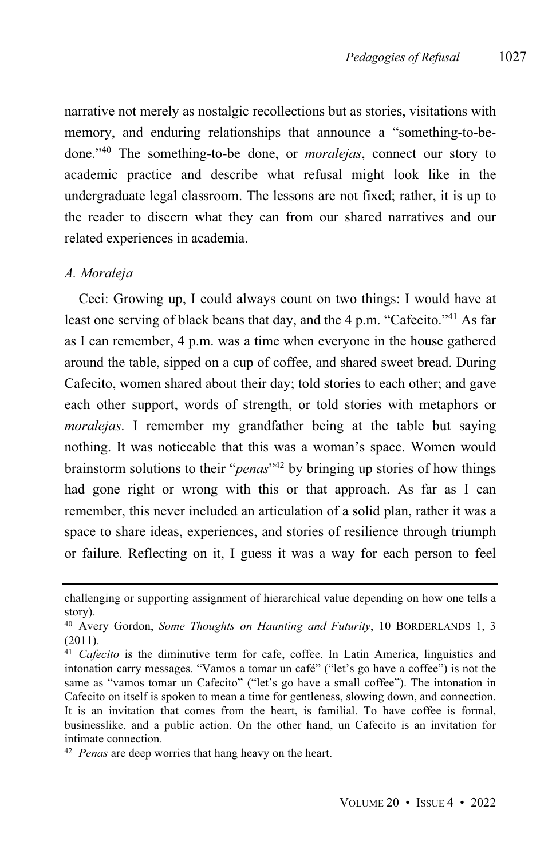narrative not merely as nostalgic recollections but as stories, visitations with memory, and enduring relationships that announce a "something-to-bedone."<sup>40</sup> The something-to-be done, or *moralejas*, connect our story to academic practice and describe what refusal might look like in the undergraduate legal classroom. The lessons are not fixed; rather, it is up to the reader to discern what they can from our shared narratives and our related experiences in academia.

### *A. Moraleja*

Ceci: Growing up, I could always count on two things: I would have at least one serving of black beans that day, and the 4 p.m. "Cafecito."<sup>41</sup> As far as I can remember, 4 p.m. was a time when everyone in the house gathered around the table, sipped on a cup of coffee, and shared sweet bread. During Cafecito, women shared about their day; told stories to each other; and gave each other support, words of strength, or told stories with metaphors or *moralejas*. I remember my grandfather being at the table but saying nothing. It was noticeable that this was a woman's space. Women would brainstorm solutions to their "*penas*" <sup>42</sup> by bringing up stories of how things had gone right or wrong with this or that approach. As far as I can remember, this never included an articulation of a solid plan, rather it was a space to share ideas, experiences, and stories of resilience through triumph or failure. Reflecting on it, I guess it was a way for each person to feel

challenging or supporting assignment of hierarchical value depending on how one tells a story).

<sup>40</sup> Avery Gordon, *Some Thoughts on Haunting and Futurity*, 10 BORDERLANDS 1, 3 (2011).

<sup>41</sup> *Cafecito* is the diminutive term for cafe, coffee. In Latin America, linguistics and intonation carry messages. "Vamos a tomar un café" ("let's go have a coffee") is not the same as "vamos tomar un Cafecito" ("let's go have a small coffee"). The intonation in Cafecito on itself is spoken to mean a time for gentleness, slowing down, and connection. It is an invitation that comes from the heart, is familial. To have coffee is formal, businesslike, and a public action. On the other hand, un Cafecito is an invitation for intimate connection.

<sup>42</sup> *Penas* are deep worries that hang heavy on the heart.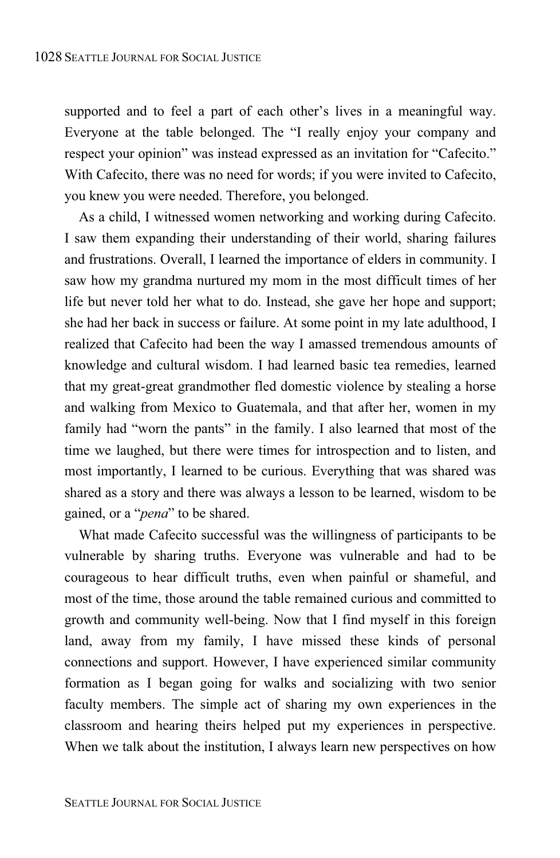supported and to feel a part of each other's lives in a meaningful way. Everyone at the table belonged. The "I really enjoy your company and respect your opinion" was instead expressed as an invitation for "Cafecito." With Cafecito, there was no need for words; if you were invited to Cafecito, you knew you were needed. Therefore, you belonged.

As a child, I witnessed women networking and working during Cafecito. I saw them expanding their understanding of their world, sharing failures and frustrations. Overall, I learned the importance of elders in community. I saw how my grandma nurtured my mom in the most difficult times of her life but never told her what to do. Instead, she gave her hope and support; she had her back in success or failure. At some point in my late adulthood, I realized that Cafecito had been the way I amassed tremendous amounts of knowledge and cultural wisdom. I had learned basic tea remedies, learned that my great-great grandmother fled domestic violence by stealing a horse and walking from Mexico to Guatemala, and that after her, women in my family had "worn the pants" in the family. I also learned that most of the time we laughed, but there were times for introspection and to listen, and most importantly, I learned to be curious. Everything that was shared was shared as a story and there was always a lesson to be learned, wisdom to be gained, or a "*pena*" to be shared.

What made Cafecito successful was the willingness of participants to be vulnerable by sharing truths. Everyone was vulnerable and had to be courageous to hear difficult truths, even when painful or shameful, and most of the time, those around the table remained curious and committed to growth and community well-being. Now that I find myself in this foreign land, away from my family, I have missed these kinds of personal connections and support. However, I have experienced similar community formation as I began going for walks and socializing with two senior faculty members. The simple act of sharing my own experiences in the classroom and hearing theirs helped put my experiences in perspective. When we talk about the institution, I always learn new perspectives on how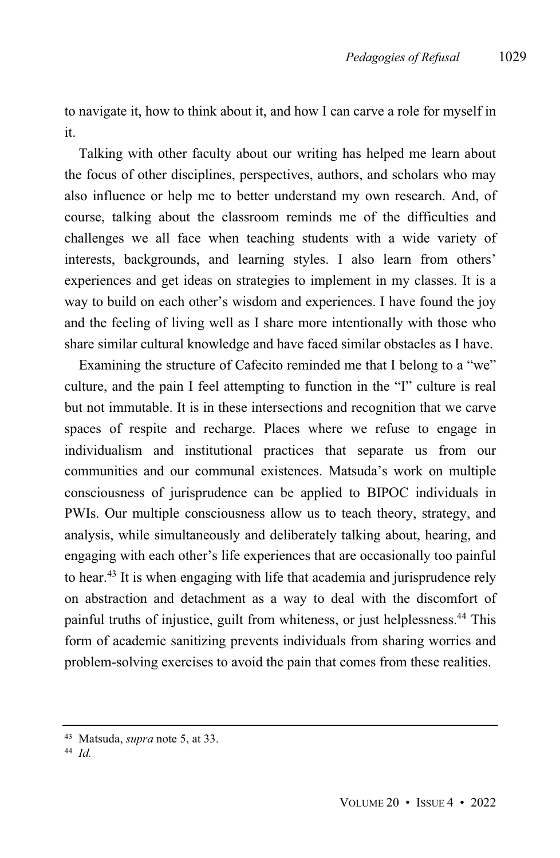to navigate it, how to think about it, and how I can carve a role for myself in it.

Talking with other faculty about our writing has helped me learn about the focus of other disciplines, perspectives, authors, and scholars who may also influence or help me to better understand my own research. And, of course, talking about the classroom reminds me of the difficulties and challenges we all face when teaching students with a wide variety of interests, backgrounds, and learning styles. I also learn from others' experiences and get ideas on strategies to implement in my classes. It is a way to build on each other's wisdom and experiences. I have found the joy and the feeling of living well as I share more intentionally with those who share similar cultural knowledge and have faced similar obstacles as I have.

Examining the structure of Cafecito reminded me that I belong to a "we" culture, and the pain I feel attempting to function in the "I" culture is real but not immutable. It is in these intersections and recognition that we carve spaces of respite and recharge. Places where we refuse to engage in individualism and institutional practices that separate us from our communities and our communal existences. Matsuda's work on multiple consciousness of jurisprudence can be applied to BIPOC individuals in PWIs. Our multiple consciousness allow us to teach theory, strategy, and analysis, while simultaneously and deliberately talking about, hearing, and engaging with each other's life experiences that are occasionally too painful to hear.<sup>43</sup> It is when engaging with life that academia and jurisprudence rely on abstraction and detachment as a way to deal with the discomfort of painful truths of injustice, guilt from whiteness, or just helplessness.<sup>44</sup> This form of academic sanitizing prevents individuals from sharing worries and problem-solving exercises to avoid the pain that comes from these realities.

<sup>43</sup> Matsuda, *supra* note 5, at 33.

<sup>44</sup> *Id.*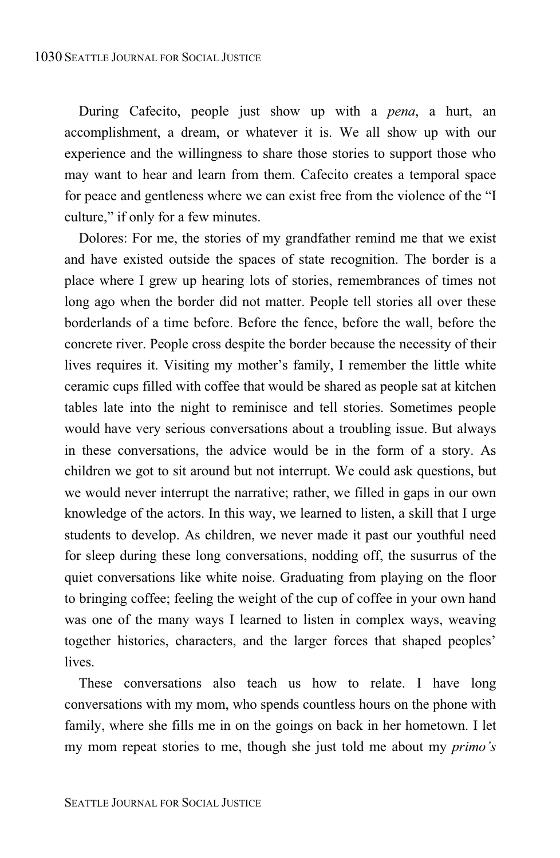During Cafecito, people just show up with a *pena*, a hurt, an accomplishment, a dream, or whatever it is. We all show up with our experience and the willingness to share those stories to support those who may want to hear and learn from them. Cafecito creates a temporal space for peace and gentleness where we can exist free from the violence of the "I culture," if only for a few minutes.

Dolores: For me, the stories of my grandfather remind me that we exist and have existed outside the spaces of state recognition. The border is a place where I grew up hearing lots of stories, remembrances of times not long ago when the border did not matter. People tell stories all over these borderlands of a time before. Before the fence, before the wall, before the concrete river. People cross despite the border because the necessity of their lives requires it. Visiting my mother's family, I remember the little white ceramic cups filled with coffee that would be shared as people sat at kitchen tables late into the night to reminisce and tell stories. Sometimes people would have very serious conversations about a troubling issue. But always in these conversations, the advice would be in the form of a story. As children we got to sit around but not interrupt. We could ask questions, but we would never interrupt the narrative; rather, we filled in gaps in our own knowledge of the actors. In this way, we learned to listen, a skill that I urge students to develop. As children, we never made it past our youthful need for sleep during these long conversations, nodding off, the susurrus of the quiet conversations like white noise. Graduating from playing on the floor to bringing coffee; feeling the weight of the cup of coffee in your own hand was one of the many ways I learned to listen in complex ways, weaving together histories, characters, and the larger forces that shaped peoples' lives.

These conversations also teach us how to relate. I have long conversations with my mom, who spends countless hours on the phone with family, where she fills me in on the goings on back in her hometown. I let my mom repeat stories to me, though she just told me about my *primo's*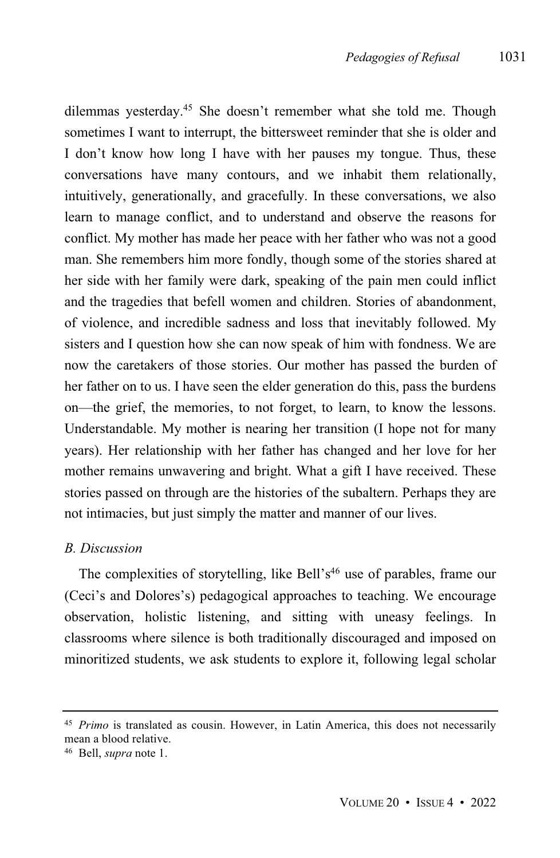dilemmas yesterday.<sup>45</sup> She doesn't remember what she told me. Though sometimes I want to interrupt, the bittersweet reminder that she is older and I don't know how long I have with her pauses my tongue. Thus, these conversations have many contours, and we inhabit them relationally, intuitively, generationally, and gracefully. In these conversations, we also learn to manage conflict, and to understand and observe the reasons for conflict. My mother has made her peace with her father who was not a good man. She remembers him more fondly, though some of the stories shared at her side with her family were dark, speaking of the pain men could inflict and the tragedies that befell women and children. Stories of abandonment, of violence, and incredible sadness and loss that inevitably followed. My sisters and I question how she can now speak of him with fondness. We are now the caretakers of those stories. Our mother has passed the burden of her father on to us. I have seen the elder generation do this, pass the burdens on—the grief, the memories, to not forget, to learn, to know the lessons. Understandable. My mother is nearing her transition (I hope not for many years). Her relationship with her father has changed and her love for her mother remains unwavering and bright. What a gift I have received. These stories passed on through are the histories of the subaltern. Perhaps they are not intimacies, but just simply the matter and manner of our lives.

#### *B. Discussion*

The complexities of storytelling, like Bell's<sup>46</sup> use of parables, frame our (Ceci's and Dolores's) pedagogical approaches to teaching. We encourage observation, holistic listening, and sitting with uneasy feelings. In classrooms where silence is both traditionally discouraged and imposed on minoritized students, we ask students to explore it, following legal scholar

<sup>45</sup> *Primo* is translated as cousin. However, in Latin America, this does not necessarily mean a blood relative.

<sup>46</sup> Bell, *supra* note 1.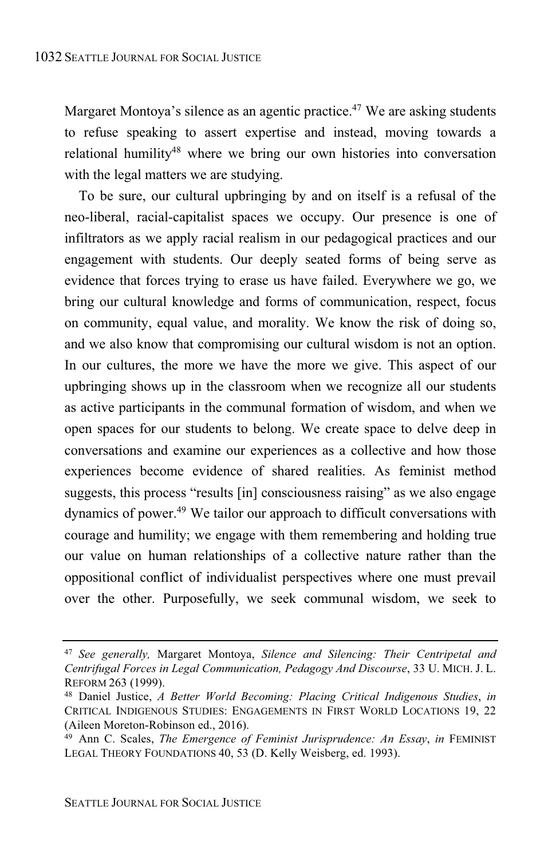Margaret Montoya's silence as an agentic practice.<sup>47</sup> We are asking students to refuse speaking to assert expertise and instead, moving towards a relational humility <sup>48</sup> where we bring our own histories into conversation with the legal matters we are studying.

To be sure, our cultural upbringing by and on itself is a refusal of the neo-liberal, racial-capitalist spaces we occupy. Our presence is one of infiltrators as we apply racial realism in our pedagogical practices and our engagement with students. Our deeply seated forms of being serve as evidence that forces trying to erase us have failed. Everywhere we go, we bring our cultural knowledge and forms of communication, respect, focus on community, equal value, and morality. We know the risk of doing so, and we also know that compromising our cultural wisdom is not an option. In our cultures, the more we have the more we give. This aspect of our upbringing shows up in the classroom when we recognize all our students as active participants in the communal formation of wisdom, and when we open spaces for our students to belong. We create space to delve deep in conversations and examine our experiences as a collective and how those experiences become evidence of shared realities. As feminist method suggests, this process "results [in] consciousness raising" as we also engage dynamics of power.<sup>49</sup> We tailor our approach to difficult conversations with courage and humility; we engage with them remembering and holding true our value on human relationships of a collective nature rather than the oppositional conflict of individualist perspectives where one must prevail over the other. Purposefully, we seek communal wisdom, we seek to

<sup>47</sup> *See generally,* Margaret Montoya, *Silence and Silencing: Their Centripetal and Centrifugal Forces in Legal Communication, Pedagogy And Discourse*, 33 U. MICH. J. L. REFORM 263 (1999).

<sup>48</sup> Daniel Justice, *A Better World Becoming: Placing Critical Indigenous Studies*, *in* CRITICAL INDIGENOUS STUDIES: ENGAGEMENTS IN FIRST WORLD LOCATIONS 19, 22 (Aileen Moreton-Robinson ed., 2016).

<sup>49</sup> Ann C. Scales, *The Emergence of Feminist Jurisprudence: An Essay*, *in* FEMINIST LEGAL THEORY FOUNDATIONS 40, 53 (D. Kelly Weisberg, ed. 1993).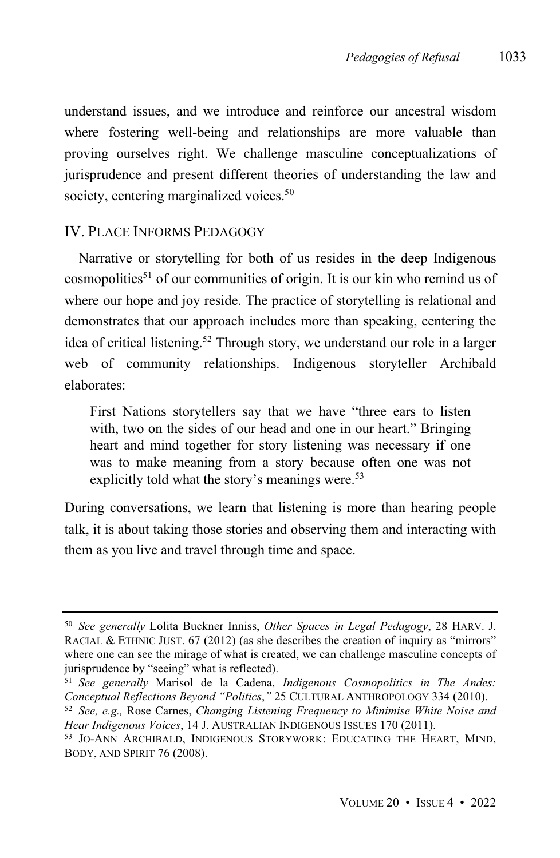understand issues, and we introduce and reinforce our ancestral wisdom where fostering well-being and relationships are more valuable than proving ourselves right. We challenge masculine conceptualizations of jurisprudence and present different theories of understanding the law and society, centering marginalized voices.<sup>50</sup>

# IV. PLACE INFORMS PEDAGOGY

Narrative or storytelling for both of us resides in the deep Indigenous cosmopolitics <sup>51</sup> of our communities of origin. It is our kin who remind us of where our hope and joy reside. The practice of storytelling is relational and demonstrates that our approach includes more than speaking, centering the idea of critical listening. <sup>52</sup> Through story, we understand our role in a larger web of community relationships. Indigenous storyteller Archibald elaborates:

First Nations storytellers say that we have "three ears to listen with, two on the sides of our head and one in our heart." Bringing heart and mind together for story listening was necessary if one was to make meaning from a story because often one was not explicitly told what the story's meanings were.<sup>53</sup>

During conversations, we learn that listening is more than hearing people talk, it is about taking those stories and observing them and interacting with them as you live and travel through time and space.

<sup>50</sup> *See generally* Lolita Buckner Inniss, *Other Spaces in Legal Pedagogy*, 28 HARV. J. RACIAL & ETHNIC JUST. 67 (2012) (as she describes the creation of inquiry as "mirrors" where one can see the mirage of what is created, we can challenge masculine concepts of jurisprudence by "seeing" what is reflected).

<sup>51</sup> *See generally* Marisol de la Cadena, *Indigenous Cosmopolitics in The Andes: Conceptual Reflections Beyond "Politics*,*"* 25 CULTURAL ANTHROPOLOGY 334 (2010).

<sup>52</sup> *See, e.g.,* Rose Carnes, *Changing Listening Frequency to Minimise White Noise and Hear Indigenous Voices*, 14 J. AUSTRALIAN INDIGENOUS ISSUES 170 (2011).

<sup>53</sup> JO-ANN ARCHIBALD, INDIGENOUS STORYWORK: EDUCATING THE HEART, MIND, BODY, AND SPIRIT 76 (2008).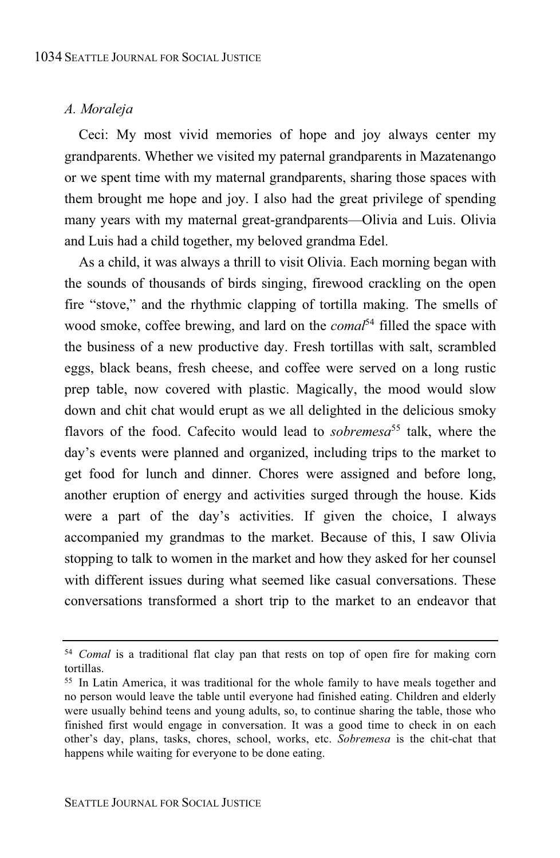#### *A. Moraleja*

Ceci: My most vivid memories of hope and joy always center my grandparents. Whether we visited my paternal grandparents in Mazatenango or we spent time with my maternal grandparents, sharing those spaces with them brought me hope and joy. I also had the great privilege of spending many years with my maternal great-grandparents—Olivia and Luis. Olivia and Luis had a child together, my beloved grandma Edel.

As a child, it was always a thrill to visit Olivia. Each morning began with the sounds of thousands of birds singing, firewood crackling on the open fire "stove," and the rhythmic clapping of tortilla making. The smells of wood smoke, coffee brewing, and lard on the *comal* <sup>54</sup> filled the space with the business of a new productive day. Fresh tortillas with salt, scrambled eggs, black beans, fresh cheese, and coffee were served on a long rustic prep table, now covered with plastic. Magically, the mood would slow down and chit chat would erupt as we all delighted in the delicious smoky flavors of the food. Cafecito would lead to *sobremesa*<sup>55</sup> talk, where the day's events were planned and organized, including trips to the market to get food for lunch and dinner. Chores were assigned and before long, another eruption of energy and activities surged through the house. Kids were a part of the day's activities. If given the choice, I always accompanied my grandmas to the market. Because of this, I saw Olivia stopping to talk to women in the market and how they asked for her counsel with different issues during what seemed like casual conversations. These conversations transformed a short trip to the market to an endeavor that

<sup>54</sup> *Comal* is a traditional flat clay pan that rests on top of open fire for making corn tortillas.

<sup>55</sup> In Latin America, it was traditional for the whole family to have meals together and no person would leave the table until everyone had finished eating. Children and elderly were usually behind teens and young adults, so, to continue sharing the table, those who finished first would engage in conversation. It was a good time to check in on each other's day, plans, tasks, chores, school, works, etc. *Sobremesa* is the chit-chat that happens while waiting for everyone to be done eating.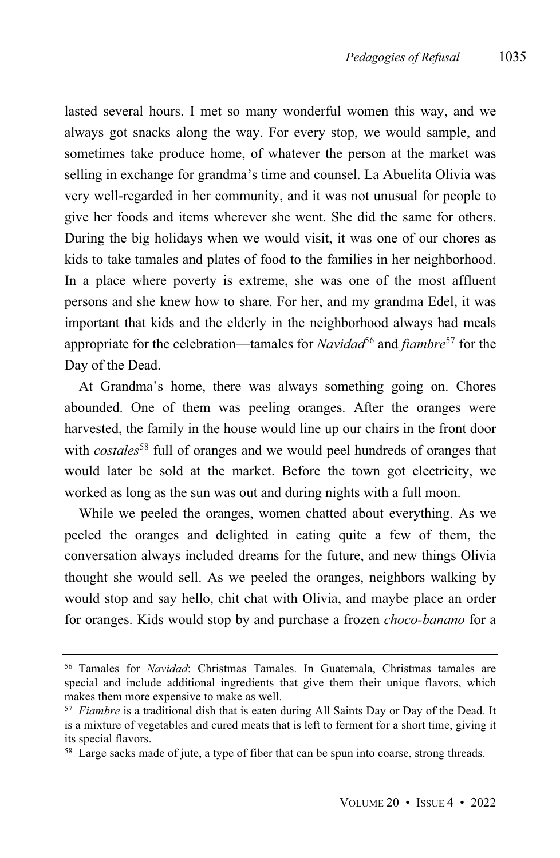lasted several hours. I met so many wonderful women this way, and we always got snacks along the way. For every stop, we would sample, and sometimes take produce home, of whatever the person at the market was selling in exchange for grandma's time and counsel. La Abuelita Olivia was very well-regarded in her community, and it was not unusual for people to give her foods and items wherever she went. She did the same for others. During the big holidays when we would visit, it was one of our chores as kids to take tamales and plates of food to the families in her neighborhood. In a place where poverty is extreme, she was one of the most affluent persons and she knew how to share. For her, and my grandma Edel, it was important that kids and the elderly in the neighborhood always had meals appropriate for the celebration—tamales for *Navidad*<sup>56</sup> and *fiambre*<sup>57</sup> for the Day of the Dead.

At Grandma's home, there was always something going on. Chores abounded. One of them was peeling oranges. After the oranges were harvested, the family in the house would line up our chairs in the front door with *costales* <sup>58</sup> full of oranges and we would peel hundreds of oranges that would later be sold at the market. Before the town got electricity, we worked as long as the sun was out and during nights with a full moon.

While we peeled the oranges, women chatted about everything. As we peeled the oranges and delighted in eating quite a few of them, the conversation always included dreams for the future, and new things Olivia thought she would sell. As we peeled the oranges, neighbors walking by would stop and say hello, chit chat with Olivia, and maybe place an order for oranges. Kids would stop by and purchase a frozen *choco-banano* for a

<sup>56</sup> Tamales for *Navidad*: Christmas Tamales. In Guatemala, Christmas tamales are special and include additional ingredients that give them their unique flavors, which makes them more expensive to make as well.

<sup>57</sup> *Fiambre* is a traditional dish that is eaten during All Saints Day or Day of the Dead. It is a mixture of vegetables and cured meats that is left to ferment for a short time, giving it its special flavors.

<sup>58</sup> Large sacks made of jute, a type of fiber that can be spun into coarse, strong threads.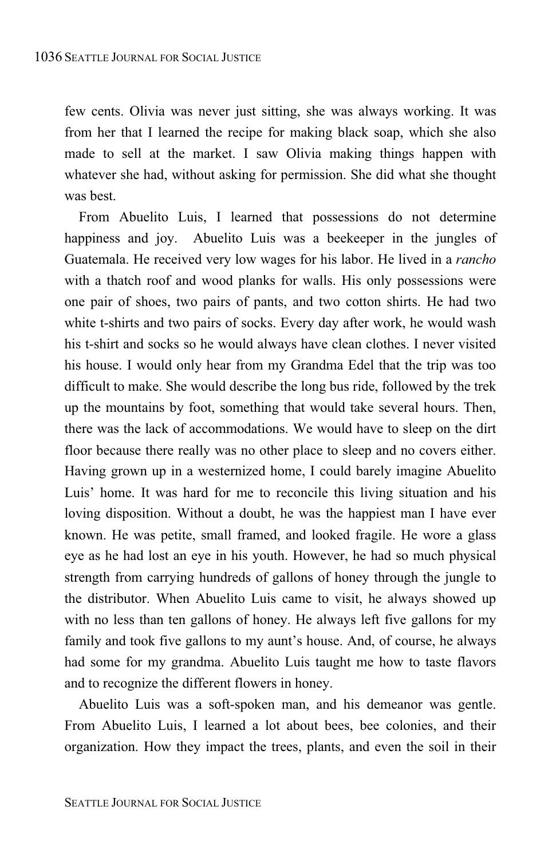few cents. Olivia was never just sitting, she was always working. It was from her that I learned the recipe for making black soap, which she also made to sell at the market. I saw Olivia making things happen with whatever she had, without asking for permission. She did what she thought was best.

From Abuelito Luis, I learned that possessions do not determine happiness and joy. Abuelito Luis was a beekeeper in the jungles of Guatemala. He received very low wages for his labor. He lived in a *rancho* with a thatch roof and wood planks for walls. His only possessions were one pair of shoes, two pairs of pants, and two cotton shirts. He had two white t-shirts and two pairs of socks. Every day after work, he would wash his t-shirt and socks so he would always have clean clothes. I never visited his house. I would only hear from my Grandma Edel that the trip was too difficult to make. She would describe the long bus ride, followed by the trek up the mountains by foot, something that would take several hours. Then, there was the lack of accommodations. We would have to sleep on the dirt floor because there really was no other place to sleep and no covers either. Having grown up in a westernized home, I could barely imagine Abuelito Luis' home. It was hard for me to reconcile this living situation and his loving disposition. Without a doubt, he was the happiest man I have ever known. He was petite, small framed, and looked fragile. He wore a glass eye as he had lost an eye in his youth. However, he had so much physical strength from carrying hundreds of gallons of honey through the jungle to the distributor. When Abuelito Luis came to visit, he always showed up with no less than ten gallons of honey. He always left five gallons for my family and took five gallons to my aunt's house. And, of course, he always had some for my grandma. Abuelito Luis taught me how to taste flavors and to recognize the different flowers in honey.

Abuelito Luis was a soft-spoken man, and his demeanor was gentle. From Abuelito Luis, I learned a lot about bees, bee colonies, and their organization. How they impact the trees, plants, and even the soil in their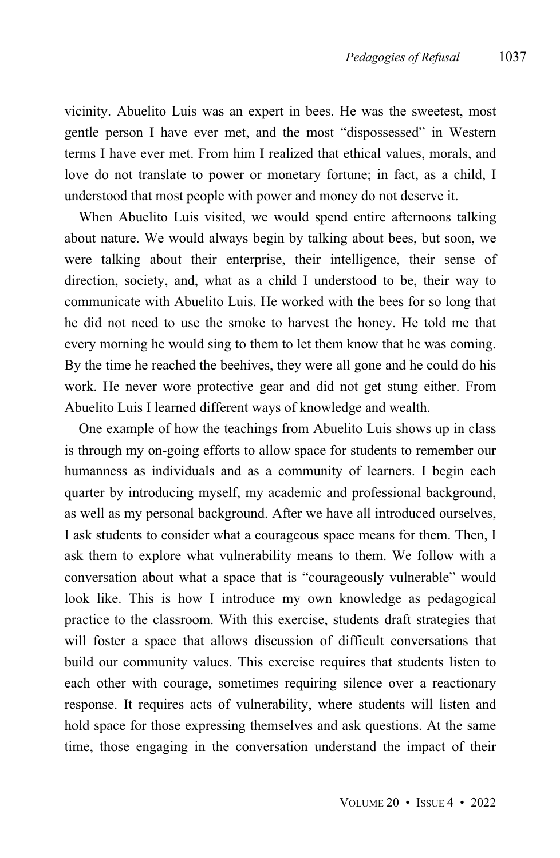vicinity. Abuelito Luis was an expert in bees. He was the sweetest, most gentle person I have ever met, and the most "dispossessed" in Western terms I have ever met. From him I realized that ethical values, morals, and love do not translate to power or monetary fortune; in fact, as a child, I understood that most people with power and money do not deserve it.

When Abuelito Luis visited, we would spend entire afternoons talking about nature. We would always begin by talking about bees, but soon, we were talking about their enterprise, their intelligence, their sense of direction, society, and, what as a child I understood to be, their way to communicate with Abuelito Luis. He worked with the bees for so long that he did not need to use the smoke to harvest the honey. He told me that every morning he would sing to them to let them know that he was coming. By the time he reached the beehives, they were all gone and he could do his work. He never wore protective gear and did not get stung either. From Abuelito Luis I learned different ways of knowledge and wealth.

One example of how the teachings from Abuelito Luis shows up in class is through my on-going efforts to allow space for students to remember our humanness as individuals and as a community of learners. I begin each quarter by introducing myself, my academic and professional background, as well as my personal background. After we have all introduced ourselves, I ask students to consider what a courageous space means for them. Then, I ask them to explore what vulnerability means to them. We follow with a conversation about what a space that is "courageously vulnerable" would look like. This is how I introduce my own knowledge as pedagogical practice to the classroom. With this exercise, students draft strategies that will foster a space that allows discussion of difficult conversations that build our community values. This exercise requires that students listen to each other with courage, sometimes requiring silence over a reactionary response. It requires acts of vulnerability, where students will listen and hold space for those expressing themselves and ask questions. At the same time, those engaging in the conversation understand the impact of their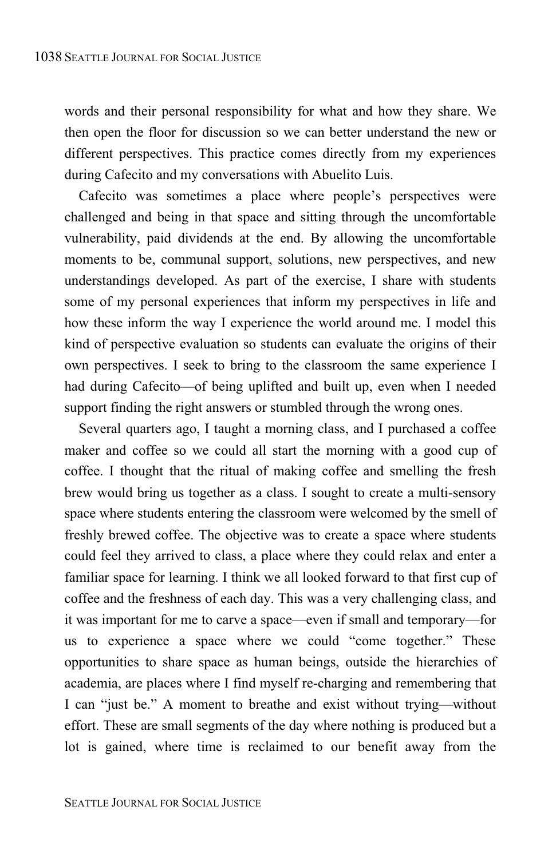words and their personal responsibility for what and how they share. We then open the floor for discussion so we can better understand the new or different perspectives. This practice comes directly from my experiences during Cafecito and my conversations with Abuelito Luis.

Cafecito was sometimes a place where people's perspectives were challenged and being in that space and sitting through the uncomfortable vulnerability, paid dividends at the end. By allowing the uncomfortable moments to be, communal support, solutions, new perspectives, and new understandings developed. As part of the exercise, I share with students some of my personal experiences that inform my perspectives in life and how these inform the way I experience the world around me. I model this kind of perspective evaluation so students can evaluate the origins of their own perspectives. I seek to bring to the classroom the same experience I had during Cafecito—of being uplifted and built up, even when I needed support finding the right answers or stumbled through the wrong ones.

Several quarters ago, I taught a morning class, and I purchased a coffee maker and coffee so we could all start the morning with a good cup of coffee. I thought that the ritual of making coffee and smelling the fresh brew would bring us together as a class. I sought to create a multi-sensory space where students entering the classroom were welcomed by the smell of freshly brewed coffee. The objective was to create a space where students could feel they arrived to class, a place where they could relax and enter a familiar space for learning. I think we all looked forward to that first cup of coffee and the freshness of each day. This was a very challenging class, and it was important for me to carve a space—even if small and temporary—for us to experience a space where we could "come together." These opportunities to share space as human beings, outside the hierarchies of academia, are places where I find myself re-charging and remembering that I can "just be." A moment to breathe and exist without trying—without effort. These are small segments of the day where nothing is produced but a lot is gained, where time is reclaimed to our benefit away from the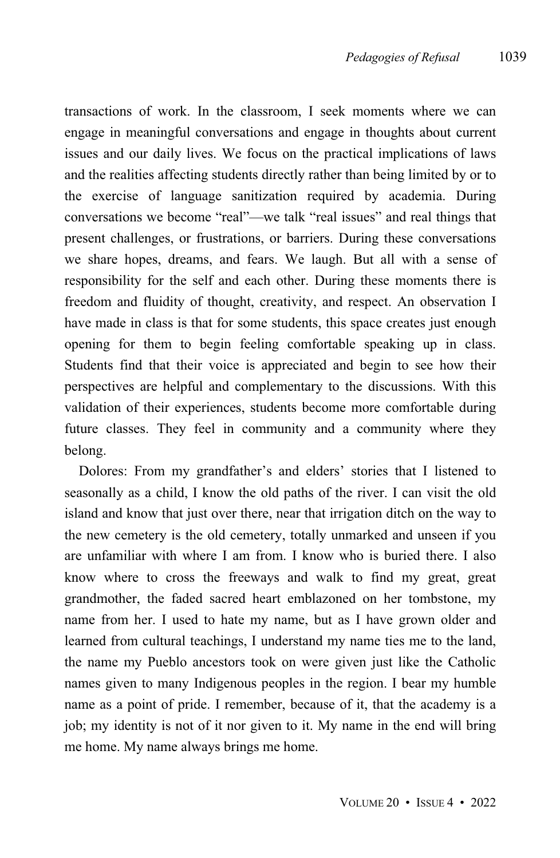transactions of work. In the classroom, I seek moments where we can engage in meaningful conversations and engage in thoughts about current issues and our daily lives. We focus on the practical implications of laws and the realities affecting students directly rather than being limited by or to the exercise of language sanitization required by academia. During conversations we become "real"—we talk "real issues" and real things that present challenges, or frustrations, or barriers. During these conversations we share hopes, dreams, and fears. We laugh. But all with a sense of responsibility for the self and each other. During these moments there is freedom and fluidity of thought, creativity, and respect. An observation I have made in class is that for some students, this space creates just enough opening for them to begin feeling comfortable speaking up in class. Students find that their voice is appreciated and begin to see how their perspectives are helpful and complementary to the discussions. With this validation of their experiences, students become more comfortable during future classes. They feel in community and a community where they belong.

Dolores: From my grandfather's and elders' stories that I listened to seasonally as a child, I know the old paths of the river. I can visit the old island and know that just over there, near that irrigation ditch on the way to the new cemetery is the old cemetery, totally unmarked and unseen if you are unfamiliar with where I am from. I know who is buried there. I also know where to cross the freeways and walk to find my great, great grandmother, the faded sacred heart emblazoned on her tombstone, my name from her. I used to hate my name, but as I have grown older and learned from cultural teachings, I understand my name ties me to the land, the name my Pueblo ancestors took on were given just like the Catholic names given to many Indigenous peoples in the region. I bear my humble name as a point of pride. I remember, because of it, that the academy is a job; my identity is not of it nor given to it. My name in the end will bring me home. My name always brings me home.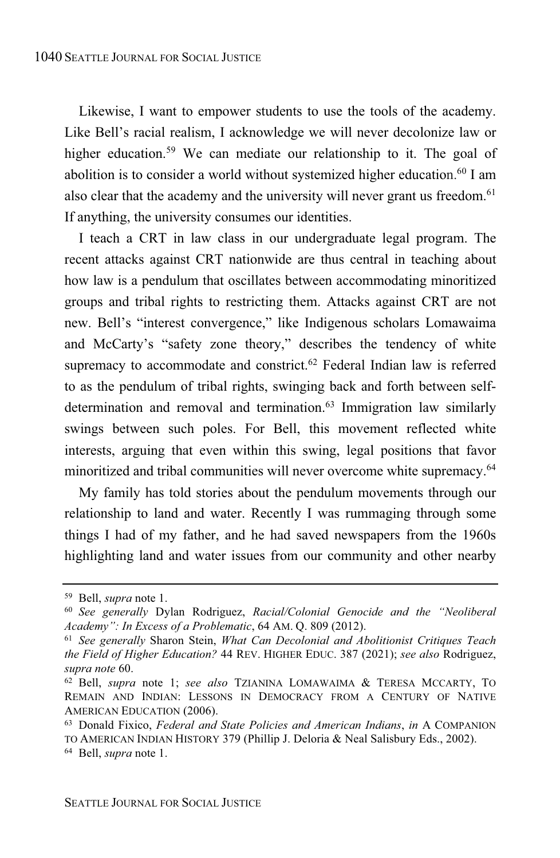Likewise, I want to empower students to use the tools of the academy. Like Bell's racial realism, I acknowledge we will never decolonize law or higher education.<sup>59</sup> We can mediate our relationship to it. The goal of abolition is to consider a world without systemized higher education.<sup>60</sup> I am also clear that the academy and the university will never grant us freedom.<sup>61</sup> If anything, the university consumes our identities.

I teach a CRT in law class in our undergraduate legal program. The recent attacks against CRT nationwide are thus central in teaching about how law is a pendulum that oscillates between accommodating minoritized groups and tribal rights to restricting them. Attacks against CRT are not new. Bell's "interest convergence," like Indigenous scholars Lomawaima and McCarty's "safety zone theory," describes the tendency of white supremacy to accommodate and constrict.<sup>62</sup> Federal Indian law is referred to as the pendulum of tribal rights, swinging back and forth between selfdetermination and removal and termination.<sup>63</sup> Immigration law similarly swings between such poles. For Bell, this movement reflected white interests, arguing that even within this swing, legal positions that favor minoritized and tribal communities will never overcome white supremacy. 64

My family has told stories about the pendulum movements through our relationship to land and water. Recently I was rummaging through some things I had of my father, and he had saved newspapers from the 1960s highlighting land and water issues from our community and other nearby

<sup>59</sup> Bell, *supra* note 1.

<sup>60</sup> *See generally* Dylan Rodriguez, *Racial/Colonial Genocide and the "Neoliberal Academy": In Excess of a Problematic*, 64 AM. Q. 809 (2012).

<sup>61</sup> *See generally* Sharon Stein, *What Can Decolonial and Abolitionist Critiques Teach the Field of Higher Education?* 44 REV. HIGHER EDUC. 387 (2021); *see also* Rodriguez, *supra note* 60.

<sup>62</sup> Bell, *supra* note 1; *see also* TZIANINA LOMAWAIMA & TERESA MCCARTY, TO REMAIN AND INDIAN: LESSONS IN DEMOCRACY FROM A CENTURY OF NATIVE AMERICAN EDUCATION (2006).

<sup>63</sup> Donald Fixico, *Federal and State Policies and American Indians*, *in* A COMPANION TO AMERICAN INDIAN HISTORY 379 (Phillip J. Deloria & Neal Salisbury Eds., 2002). <sup>64</sup> Bell, *supra* note 1.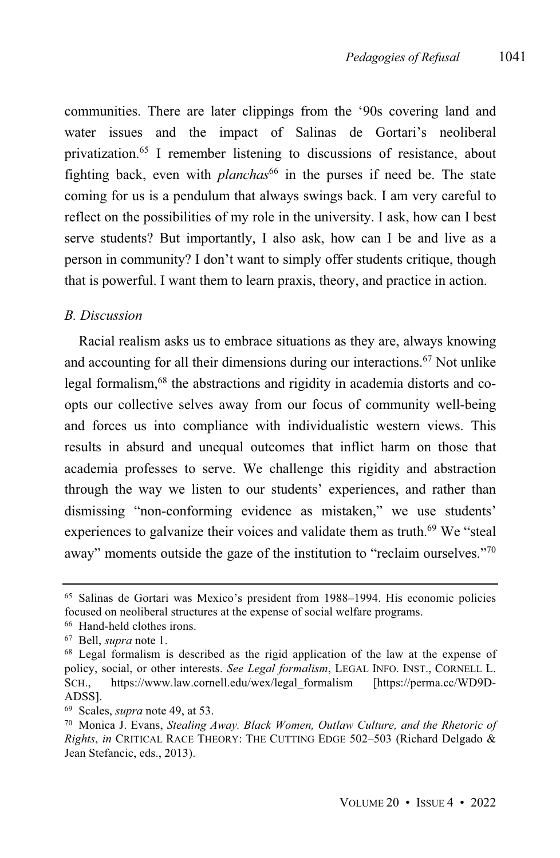communities. There are later clippings from the '90s covering land and water issues and the impact of Salinas de Gortari's neoliberal privatization.<sup>65</sup> I remember listening to discussions of resistance, about fighting back, even with *planchas*<sup>66</sup> in the purses if need be. The state coming for us is a pendulum that always swings back. I am very careful to reflect on the possibilities of my role in the university. I ask, how can I best serve students? But importantly, I also ask, how can I be and live as a person in community? I don't want to simply offer students critique, though that is powerful. I want them to learn praxis, theory, and practice in action.

#### *B. Discussion*

Racial realism asks us to embrace situations as they are, always knowing and accounting for all their dimensions during our interactions. <sup>67</sup> Not unlike legal formalism, <sup>68</sup> the abstractions and rigidity in academia distorts and coopts our collective selves away from our focus of community well-being and forces us into compliance with individualistic western views. This results in absurd and unequal outcomes that inflict harm on those that academia professes to serve. We challenge this rigidity and abstraction through the way we listen to our students' experiences, and rather than dismissing "non-conforming evidence as mistaken," we use students' experiences to galvanize their voices and validate them as truth.<sup>69</sup> We "steal away" moments outside the gaze of the institution to "reclaim ourselves."<sup>70</sup>

<sup>65</sup> Salinas de Gortari was Mexico's president from 1988–1994. His economic policies focused on neoliberal structures at the expense of social welfare programs.

<sup>66</sup> Hand-held clothes irons.

<sup>67</sup> Bell, *supra* note 1.

<sup>68</sup> Legal formalism is described as the rigid application of the law at the expense of policy, social, or other interests. *See Legal formalism*, LEGAL INFO. INST., CORNELL L. SCH., https://www.law.cornell.edu/wex/legal\_formalism [https://perma.cc/WD9D-ADSS].

<sup>69</sup> Scales, *supra* note 49, at 53.

<sup>70</sup> Monica J. Evans, *Stealing Away. Black Women, Outlaw Culture, and the Rhetoric of Rights*, *in* CRITICAL RACE THEORY: THE CUTTING EDGE 502–503 (Richard Delgado & Jean Stefancic, eds., 2013).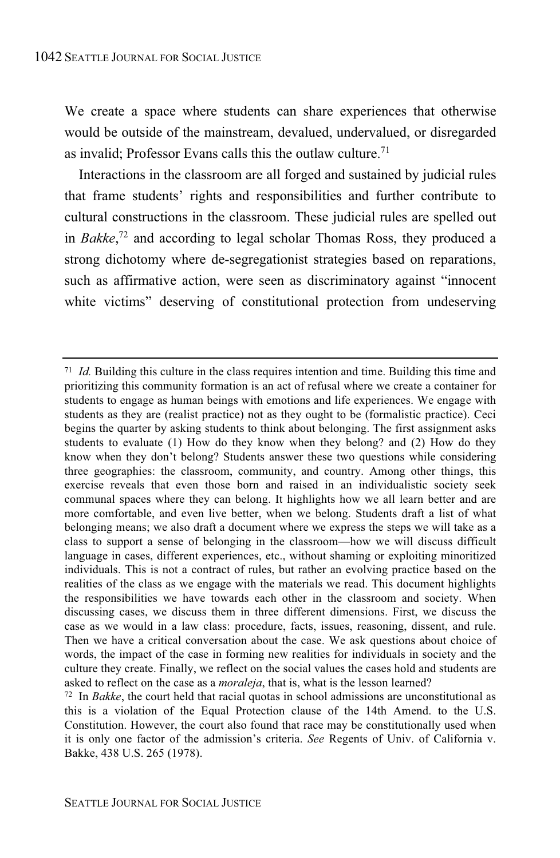We create a space where students can share experiences that otherwise would be outside of the mainstream, devalued, undervalued, or disregarded as invalid: Professor Evans calls this the outlaw culture.<sup>71</sup>

Interactions in the classroom are all forged and sustained by judicial rules that frame students' rights and responsibilities and further contribute to cultural constructions in the classroom. These judicial rules are spelled out in *Bakke*, <sup>72</sup> and according to legal scholar Thomas Ross, they produced a strong dichotomy where de-segregationist strategies based on reparations, such as affirmative action, were seen as discriminatory against "innocent white victims" deserving of constitutional protection from undeserving

<sup>71</sup> *Id.* Building this culture in the class requires intention and time. Building this time and prioritizing this community formation is an act of refusal where we create a container for students to engage as human beings with emotions and life experiences. We engage with students as they are (realist practice) not as they ought to be (formalistic practice). Ceci begins the quarter by asking students to think about belonging. The first assignment asks students to evaluate (1) How do they know when they belong? and (2) How do they know when they don't belong? Students answer these two questions while considering three geographies: the classroom, community, and country. Among other things, this exercise reveals that even those born and raised in an individualistic society seek communal spaces where they can belong. It highlights how we all learn better and are more comfortable, and even live better, when we belong. Students draft a list of what belonging means; we also draft a document where we express the steps we will take as a class to support a sense of belonging in the classroom—how we will discuss difficult language in cases, different experiences, etc., without shaming or exploiting minoritized individuals. This is not a contract of rules, but rather an evolving practice based on the realities of the class as we engage with the materials we read. This document highlights the responsibilities we have towards each other in the classroom and society. When discussing cases, we discuss them in three different dimensions. First, we discuss the case as we would in a law class: procedure, facts, issues, reasoning, dissent, and rule. Then we have a critical conversation about the case. We ask questions about choice of words, the impact of the case in forming new realities for individuals in society and the culture they create. Finally, we reflect on the social values the cases hold and students are asked to reflect on the case as a *moraleja*, that is, what is the lesson learned?

<sup>72</sup> In *Bakke*, the court held that racial quotas in school admissions are unconstitutional as this is a violation of the Equal Protection clause of the 14th Amend. to the U.S. Constitution. However, the court also found that race may be constitutionally used when it is only one factor of the admission's criteria. *See* Regents of Univ. of California v. Bakke, 438 U.S. 265 (1978).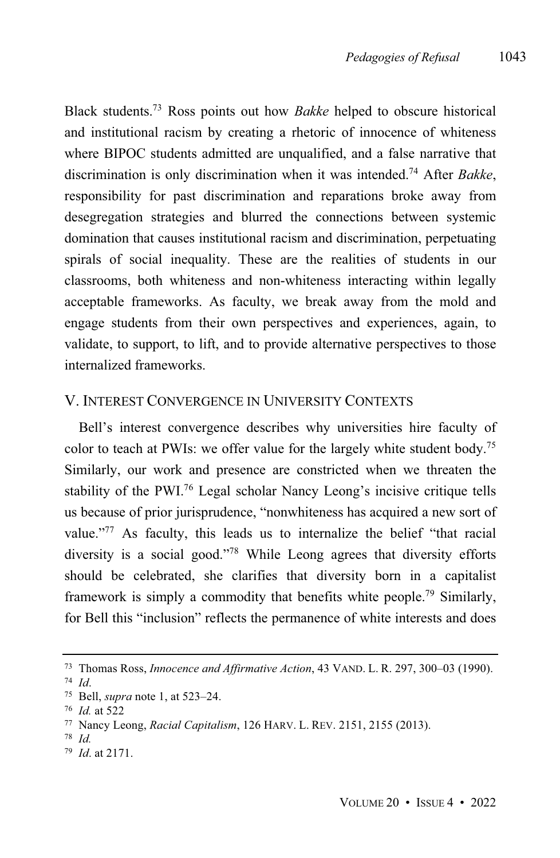Black students.<sup>73</sup> Ross points out how *Bakke* helped to obscure historical and institutional racism by creating a rhetoric of innocence of whiteness where BIPOC students admitted are unqualified, and a false narrative that discrimination is only discrimination when it was intended.<sup>74</sup> After *Bakke*, responsibility for past discrimination and reparations broke away from desegregation strategies and blurred the connections between systemic domination that causes institutional racism and discrimination, perpetuating spirals of social inequality. These are the realities of students in our classrooms, both whiteness and non-whiteness interacting within legally acceptable frameworks. As faculty, we break away from the mold and engage students from their own perspectives and experiences, again, to validate, to support, to lift, and to provide alternative perspectives to those internalized frameworks.

### V. INTEREST CONVERGENCE IN UNIVERSITY CONTEXTS

Bell's interest convergence describes why universities hire faculty of color to teach at PWIs: we offer value for the largely white student body. 75 Similarly, our work and presence are constricted when we threaten the stability of the PWI. <sup>76</sup> Legal scholar Nancy Leong's incisive critique tells us because of prior jurisprudence, "nonwhiteness has acquired a new sort of value."<sup>77</sup> As faculty, this leads us to internalize the belief "that racial diversity is a social good." <sup>78</sup> While Leong agrees that diversity efforts should be celebrated, she clarifies that diversity born in a capitalist framework is simply a commodity that benefits white people.<sup>79</sup> Similarly, for Bell this "inclusion" reflects the permanence of white interests and does

<sup>73</sup> Thomas Ross, *Innocence and Affirmative Action*, 43 VAND. L. R. 297, 300–03 (1990). <sup>74</sup> *Id*.

<sup>75</sup> Bell, *supra* note 1, at 523–24.

<sup>76</sup> *Id.* at 522

<sup>77</sup> Nancy Leong, *Racial Capitalism*, 126 HARV. L. REV. 2151, 2155 (2013).

<sup>78</sup> *Id.*

<sup>79</sup> *Id*. at 2171.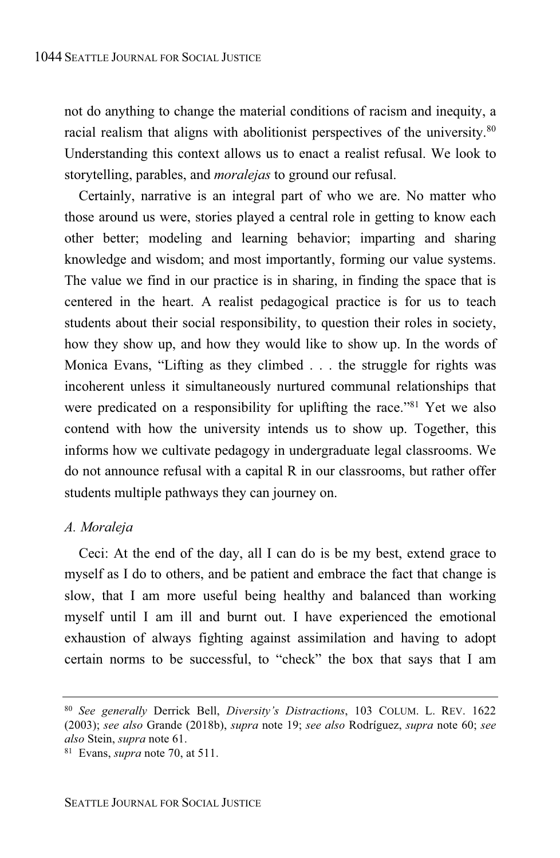not do anything to change the material conditions of racism and inequity, a racial realism that aligns with abolitionist perspectives of the university.<sup>80</sup> Understanding this context allows us to enact a realist refusal. We look to storytelling, parables, and *moralejas* to ground our refusal.

Certainly, narrative is an integral part of who we are. No matter who those around us were, stories played a central role in getting to know each other better; modeling and learning behavior; imparting and sharing knowledge and wisdom; and most importantly, forming our value systems. The value we find in our practice is in sharing, in finding the space that is centered in the heart. A realist pedagogical practice is for us to teach students about their social responsibility, to question their roles in society, how they show up, and how they would like to show up. In the words of Monica Evans, "Lifting as they climbed . . . the struggle for rights was incoherent unless it simultaneously nurtured communal relationships that were predicated on a responsibility for uplifting the race.<sup>81</sup> Yet we also contend with how the university intends us to show up. Together, this informs how we cultivate pedagogy in undergraduate legal classrooms. We do not announce refusal with a capital R in our classrooms, but rather offer students multiple pathways they can journey on.

#### *A. Moraleja*

Ceci: At the end of the day, all I can do is be my best, extend grace to myself as I do to others, and be patient and embrace the fact that change is slow, that I am more useful being healthy and balanced than working myself until I am ill and burnt out. I have experienced the emotional exhaustion of always fighting against assimilation and having to adopt certain norms to be successful, to "check" the box that says that I am

<sup>80</sup> *See generally* Derrick Bell, *Diversity's Distractions*, 103 COLUM. L. REV. 1622 (2003); *see also* Grande (2018b), *supra* note 19; *see also* Rodríguez, *supra* note 60; *see also* Stein, *supra* note 61.

<sup>81</sup> Evans, *supra* note 70, at 511.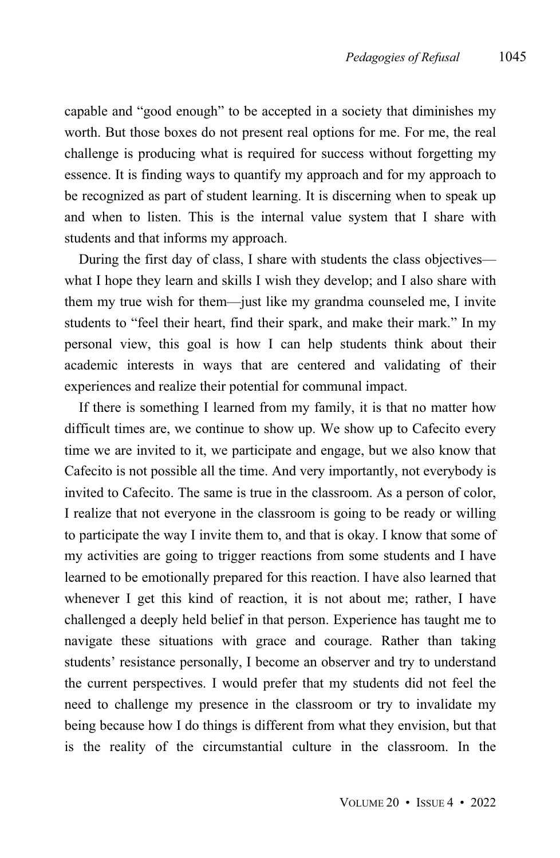capable and "good enough" to be accepted in a society that diminishes my worth. But those boxes do not present real options for me. For me, the real challenge is producing what is required for success without forgetting my essence. It is finding ways to quantify my approach and for my approach to be recognized as part of student learning. It is discerning when to speak up and when to listen. This is the internal value system that I share with students and that informs my approach.

During the first day of class, I share with students the class objectives what I hope they learn and skills I wish they develop; and I also share with them my true wish for them—just like my grandma counseled me, I invite students to "feel their heart, find their spark, and make their mark." In my personal view, this goal is how I can help students think about their academic interests in ways that are centered and validating of their experiences and realize their potential for communal impact.

If there is something I learned from my family, it is that no matter how difficult times are, we continue to show up. We show up to Cafecito every time we are invited to it, we participate and engage, but we also know that Cafecito is not possible all the time. And very importantly, not everybody is invited to Cafecito. The same is true in the classroom. As a person of color, I realize that not everyone in the classroom is going to be ready or willing to participate the way I invite them to, and that is okay. I know that some of my activities are going to trigger reactions from some students and I have learned to be emotionally prepared for this reaction. I have also learned that whenever I get this kind of reaction, it is not about me; rather, I have challenged a deeply held belief in that person. Experience has taught me to navigate these situations with grace and courage. Rather than taking students' resistance personally, I become an observer and try to understand the current perspectives. I would prefer that my students did not feel the need to challenge my presence in the classroom or try to invalidate my being because how I do things is different from what they envision, but that is the reality of the circumstantial culture in the classroom. In the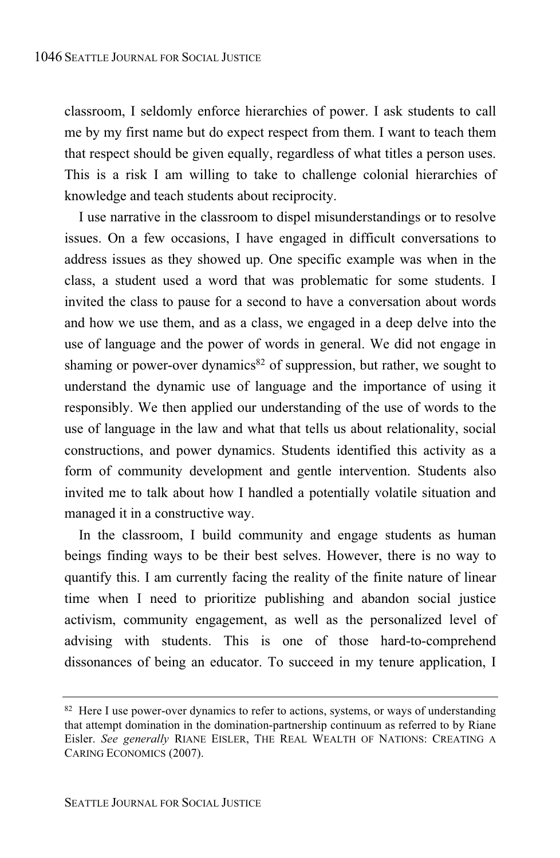classroom, I seldomly enforce hierarchies of power. I ask students to call me by my first name but do expect respect from them. I want to teach them that respect should be given equally, regardless of what titles a person uses. This is a risk I am willing to take to challenge colonial hierarchies of knowledge and teach students about reciprocity.

I use narrative in the classroom to dispel misunderstandings or to resolve issues. On a few occasions, I have engaged in difficult conversations to address issues as they showed up. One specific example was when in the class, a student used a word that was problematic for some students. I invited the class to pause for a second to have a conversation about words and how we use them, and as a class, we engaged in a deep delve into the use of language and the power of words in general. We did not engage in shaming or power-over dynamics<sup>82</sup> of suppression, but rather, we sought to understand the dynamic use of language and the importance of using it responsibly. We then applied our understanding of the use of words to the use of language in the law and what that tells us about relationality, social constructions, and power dynamics. Students identified this activity as a form of community development and gentle intervention. Students also invited me to talk about how I handled a potentially volatile situation and managed it in a constructive way.

In the classroom, I build community and engage students as human beings finding ways to be their best selves. However, there is no way to quantify this. I am currently facing the reality of the finite nature of linear time when I need to prioritize publishing and abandon social justice activism, community engagement, as well as the personalized level of advising with students. This is one of those hard-to-comprehend dissonances of being an educator. To succeed in my tenure application, I

<sup>&</sup>lt;sup>82</sup> Here I use power-over dynamics to refer to actions, systems, or ways of understanding that attempt domination in the domination-partnership continuum as referred to by Riane Eisler. *See generally* RIANE EISLER, THE REAL WEALTH OF NATIONS: CREATING A CARING ECONOMICS (2007).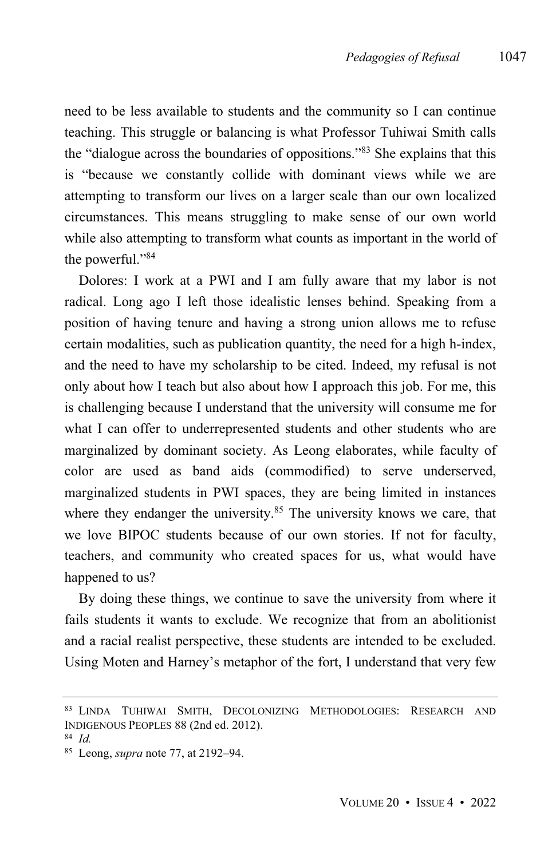need to be less available to students and the community so I can continue teaching. This struggle or balancing is what Professor Tuhiwai Smith calls the "dialogue across the boundaries of oppositions." <sup>83</sup> She explains that this is "because we constantly collide with dominant views while we are attempting to transform our lives on a larger scale than our own localized circumstances. This means struggling to make sense of our own world while also attempting to transform what counts as important in the world of the powerful." 84

Dolores: I work at a PWI and I am fully aware that my labor is not radical. Long ago I left those idealistic lenses behind. Speaking from a position of having tenure and having a strong union allows me to refuse certain modalities, such as publication quantity, the need for a high h-index, and the need to have my scholarship to be cited. Indeed, my refusal is not only about how I teach but also about how I approach this job. For me, this is challenging because I understand that the university will consume me for what I can offer to underrepresented students and other students who are marginalized by dominant society. As Leong elaborates, while faculty of color are used as band aids (commodified) to serve underserved, marginalized students in PWI spaces, they are being limited in instances where they endanger the university.<sup>85</sup> The university knows we care, that we love BIPOC students because of our own stories. If not for faculty, teachers, and community who created spaces for us, what would have happened to us?

By doing these things, we continue to save the university from where it fails students it wants to exclude. We recognize that from an abolitionist and a racial realist perspective, these students are intended to be excluded. Using Moten and Harney's metaphor of the fort, I understand that very few

<sup>83</sup> LINDA TUHIWAI SMITH, DECOLONIZING METHODOLOGIES: RESEARCH AND INDIGENOUS PEOPLES 88 (2nd ed. 2012).

<sup>84</sup> *Id.*

<sup>85</sup> Leong, *supra* note 77, at 2192–94.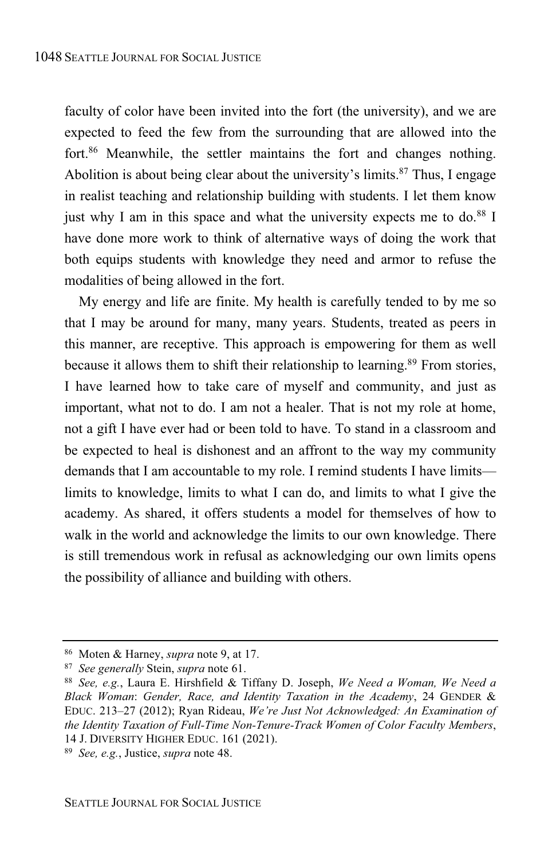faculty of color have been invited into the fort (the university), and we are expected to feed the few from the surrounding that are allowed into the fort.<sup>86</sup> Meanwhile, the settler maintains the fort and changes nothing. Abolition is about being clear about the university's limits. <sup>87</sup> Thus, I engage in realist teaching and relationship building with students. I let them know just why I am in this space and what the university expects me to do. <sup>88</sup> I have done more work to think of alternative ways of doing the work that both equips students with knowledge they need and armor to refuse the modalities of being allowed in the fort.

My energy and life are finite. My health is carefully tended to by me so that I may be around for many, many years. Students, treated as peers in this manner, are receptive. This approach is empowering for them as well because it allows them to shift their relationship to learning.<sup>89</sup> From stories, I have learned how to take care of myself and community, and just as important, what not to do. I am not a healer. That is not my role at home, not a gift I have ever had or been told to have. To stand in a classroom and be expected to heal is dishonest and an affront to the way my community demands that I am accountable to my role. I remind students I have limits limits to knowledge, limits to what I can do, and limits to what I give the academy. As shared, it offers students a model for themselves of how to walk in the world and acknowledge the limits to our own knowledge. There is still tremendous work in refusal as acknowledging our own limits opens the possibility of alliance and building with others.

<sup>86</sup> Moten & Harney, *supra* note 9, at 17.

<sup>87</sup> *See generally* Stein, *supra* note 61.

<sup>88</sup> *See, e.g.*, Laura E. Hirshfield & Tiffany D. Joseph, *We Need a Woman, We Need a Black Woman*: *Gender, Race, and Identity Taxation in the Academy*, 24 GENDER & EDUC. 213–27 (2012); Ryan Rideau, *We're Just Not Acknowledged: An Examination of the Identity Taxation of Full-Time Non-Tenure-Track Women of Color Faculty Members*, 14 J. DIVERSITY HIGHER EDUC. 161 (2021).

<sup>89</sup> *See, e.g.*, Justice, *supra* note 48.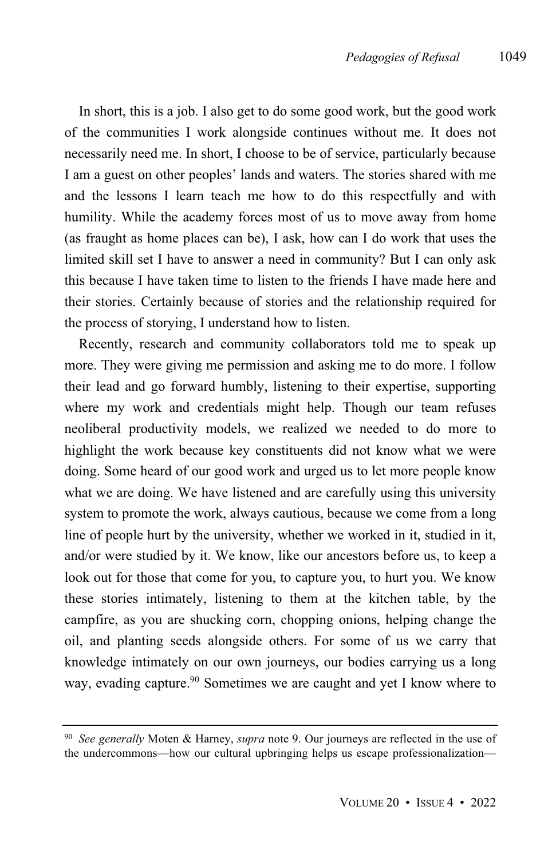In short, this is a job. I also get to do some good work, but the good work of the communities I work alongside continues without me. It does not necessarily need me. In short, I choose to be of service, particularly because I am a guest on other peoples' lands and waters. The stories shared with me and the lessons I learn teach me how to do this respectfully and with humility. While the academy forces most of us to move away from home (as fraught as home places can be), I ask, how can I do work that uses the limited skill set I have to answer a need in community? But I can only ask this because I have taken time to listen to the friends I have made here and their stories. Certainly because of stories and the relationship required for the process of storying, I understand how to listen.

Recently, research and community collaborators told me to speak up more. They were giving me permission and asking me to do more. I follow their lead and go forward humbly, listening to their expertise, supporting where my work and credentials might help. Though our team refuses neoliberal productivity models, we realized we needed to do more to highlight the work because key constituents did not know what we were doing. Some heard of our good work and urged us to let more people know what we are doing. We have listened and are carefully using this university system to promote the work, always cautious, because we come from a long line of people hurt by the university, whether we worked in it, studied in it, and/or were studied by it. We know, like our ancestors before us, to keep a look out for those that come for you, to capture you, to hurt you. We know these stories intimately, listening to them at the kitchen table, by the campfire, as you are shucking corn, chopping onions, helping change the oil, and planting seeds alongside others. For some of us we carry that knowledge intimately on our own journeys, our bodies carrying us a long way, evading capture. <sup>90</sup> Sometimes we are caught and yet I know where to

<sup>90</sup> *See generally* Moten & Harney, *supra* note 9. Our journeys are reflected in the use of the undercommons—how our cultural upbringing helps us escape professionalization—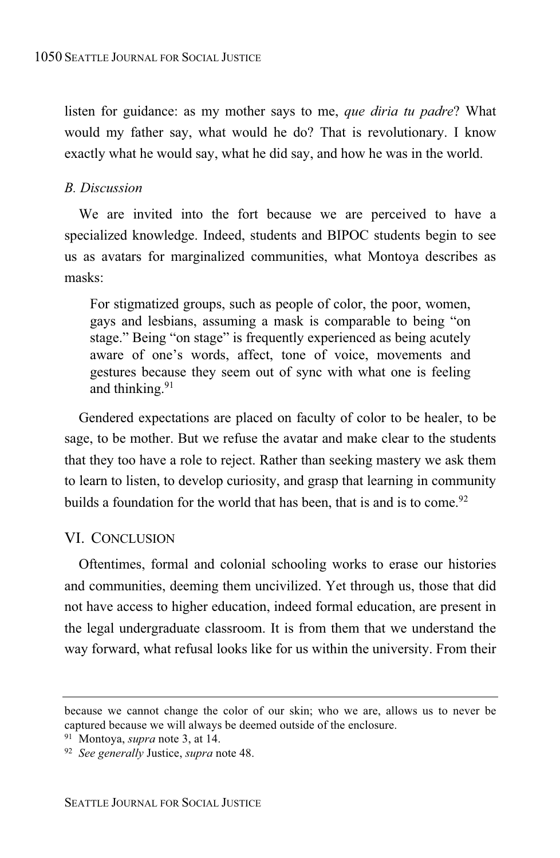listen for guidance: as my mother says to me, *que diria tu padre*? What would my father say, what would he do? That is revolutionary. I know exactly what he would say, what he did say, and how he was in the world.

# *B. Discussion*

We are invited into the fort because we are perceived to have a specialized knowledge. Indeed, students and BIPOC students begin to see us as avatars for marginalized communities, what Montoya describes as masks:

For stigmatized groups, such as people of color, the poor, women, gays and lesbians, assuming a mask is comparable to being "on stage." Being "on stage" is frequently experienced as being acutely aware of one's words, affect, tone of voice, movements and gestures because they seem out of sync with what one is feeling and thinking.<sup>91</sup>

Gendered expectations are placed on faculty of color to be healer, to be sage, to be mother. But we refuse the avatar and make clear to the students that they too have a role to reject. Rather than seeking mastery we ask them to learn to listen, to develop curiosity, and grasp that learning in community builds a foundation for the world that has been, that is and is to come.<sup>92</sup>

# VI. CONCLUSION

Oftentimes, formal and colonial schooling works to erase our histories and communities, deeming them uncivilized. Yet through us, those that did not have access to higher education, indeed formal education, are present in the legal undergraduate classroom. It is from them that we understand the way forward, what refusal looks like for us within the university. From their

because we cannot change the color of our skin; who we are, allows us to never be captured because we will always be deemed outside of the enclosure.

<sup>91</sup> Montoya, *supra* note 3, at 14.

<sup>92</sup> *See generally* Justice, *supra* note 48.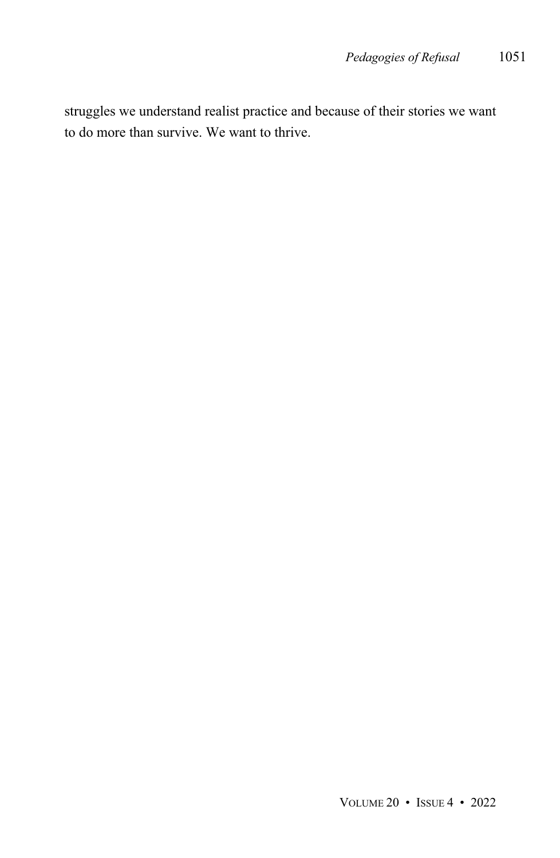struggles we understand realist practice and because of their stories we want to do more than survive. We want to thrive.